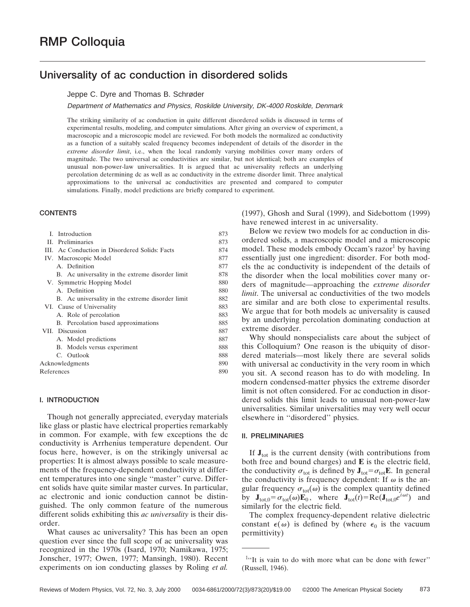# **Universality of ac conduction in disordered solids**

## Jeppe C. Dyre and Thomas B. Schrøder

#### Department of Mathematics and Physics, Roskilde University, DK-4000 Roskilde, Denmark

The striking similarity of ac conduction in quite different disordered solids is discussed in terms of experimental results, modeling, and computer simulations. After giving an overview of experiment, a macroscopic and a microscopic model are reviewed. For both models the normalized ac conductivity as a function of a suitably scaled frequency becomes independent of details of the disorder in the *extreme disorder limit*, i.e., when the local randomly varying mobilities cover many orders of magnitude. The two universal ac conductivities are similar, but not identical; both are examples of unusual non-power-law universalities. It is argued that ac universality reflects an underlying percolation determining dc as well as ac conductivity in the extreme disorder limit. Three analytical approximations to the universal ac conductivities are presented and compared to computer simulations. Finally, model predictions are briefly compared to experiment.

# **CONTENTS**

| I. Introduction                                  | 873 |
|--------------------------------------------------|-----|
| II. Preliminaries                                | 873 |
| III. Ac Conduction in Disordered Solids: Facts   | 874 |
| IV. Macroscopic Model                            | 877 |
| A. Definition                                    | 877 |
| B. Ac universality in the extreme disorder limit | 878 |
| V. Symmetric Hopping Model                       | 880 |
| A. Definition                                    | 880 |
| B. Ac universality in the extreme disorder limit | 882 |
| VI. Cause of Universality                        | 883 |
| A. Role of percolation                           | 883 |
| B. Percolation based approximations              | 885 |
| VII. Discussion                                  | 887 |
| A. Model predictions                             | 887 |
| B. Models versus experiment                      | 888 |
| C. Outlook                                       | 888 |
| Acknowledgments                                  | 890 |
| References                                       | 890 |

## **I. INTRODUCTION**

Though not generally appreciated, everyday materials like glass or plastic have electrical properties remarkably in common. For example, with few exceptions the dc conductivity is Arrhenius temperature dependent. Our focus here, however, is on the strikingly universal ac properties: It is almost always possible to scale measurements of the frequency-dependent conductivity at different temperatures into one single ''master'' curve. Different solids have quite similar master curves. In particular, ac electronic and ionic conduction cannot be distinguished. The only common feature of the numerous different solids exhibiting this *ac universality* is their disorder.

What causes ac universality? This has been an open question ever since the full scope of ac universality was recognized in the 1970s (Isard, 1970; Namikawa, 1975; Jonscher, 1977; Owen, 1977; Mansingh, 1980). Recent experiments on ion conducting glasses by Roling *et al.* (1997), Ghosh and Sural (1999), and Sidebottom (1999) have renewed interest in ac universality.

Below we review two models for ac conduction in disordered solids, a macroscopic model and a microscopic model. These models embody Occam's razor<sup>1</sup> by having essentially just one ingredient: disorder. For both models the ac conductivity is independent of the details of the disorder when the local mobilities cover many orders of magnitude—approaching the *extreme disorder limit*. The universal ac conductivities of the two models are similar and are both close to experimental results. We argue that for both models ac universality is caused by an underlying percolation dominating conduction at extreme disorder.

Why should nonspecialists care about the subject of this Colloquium? One reason is the ubiquity of disordered materials—most likely there are several solids with universal ac conductivity in the very room in which you sit. A second reason has to do with modeling. In modern condensed-matter physics the extreme disorder limit is not often considered. For ac conduction in disordered solids this limit leads to unusual non-power-law universalities. Similar universalities may very well occur elsewhere in ''disordered'' physics.

## **II. PRELIMINARIES**

If  $J_{\text{tot}}$  is the current density (with contributions from both free and bound charges) and **E** is the electric field, the conductivity  $\sigma_{\text{tot}}$  is defined by  $\mathbf{J}_{\text{tot}} = \sigma_{\text{tot}}\mathbf{E}$ . In general the conductivity is frequency dependent: If  $\omega$  is the angular frequency  $\sigma_{\text{tot}}(\omega)$  is the complex quantity defined by  $\mathbf{J}_{\text{tot},0} = \sigma_{\text{tot}}(\omega)\mathbf{E}_0$ , where  $\mathbf{J}_{\text{tot}}(t) = \text{Re}(\mathbf{J}_{\text{tot},0}e^{i\omega t})$  and similarly for the electric field.

The complex frequency-dependent relative dielectric constant  $\epsilon(\omega)$  is defined by (where  $\epsilon_0$  is the vacuum permittivity)

<sup>&</sup>lt;sup>1</sup>"It is vain to do with more what can be done with fewer" (Russell, 1946).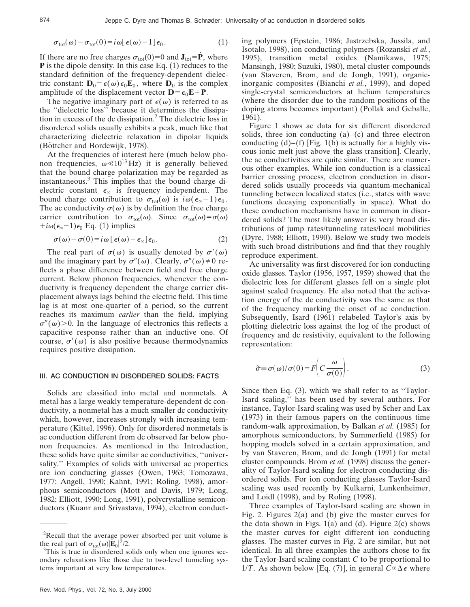$$
\sigma_{\text{tot}}(\omega) - \sigma_{\text{tot}}(0) = i\,\omega[\,\epsilon(\omega) - 1\,]\epsilon_0. \tag{1}
$$

If there are no free charges  $\sigma_{\text{tot}}(0)=0$  and  $\mathbf{J}_{\text{tot}}=\mathbf{P}$ , where **P** is the dipole density. In this case Eq. (1) reduces to the standard definition of the frequency-dependent dielectric constant:  $\mathbf{D}_0 = \epsilon(\omega) \epsilon_0 \mathbf{E}_0$ , where  $\mathbf{D}_0$  is the complex amplitude of the displacement vector  $\mathbf{D} = \epsilon_0 \mathbf{E} + \mathbf{P}$ .

The negative imaginary part of  $\epsilon(\omega)$  is referred to as the ''dielectric loss'' because it determines the dissipation in excess of the dc dissipation.<sup>2</sup> The dielectric loss in disordered solids usually exhibits a peak, much like that characterizing dielectric relaxation in dipolar liquids (Böttcher and Bordewijk, 1978).

At the frequencies of interest here (much below phonon frequencies,  $\omega \ll 10^{13}$  Hz) it is generally believed that the bound charge polarization may be regarded as instantaneous.3 This implies that the bound charge dielectric constant  $\epsilon_{\infty}$  is frequency independent. The bound charge contribution to  $\sigma_{tot}(\omega)$  is  $i\omega(\epsilon_{\infty}-1)\epsilon_0$ . The ac conductivity  $\sigma(\omega)$  is by definition the free charge carrier contribution to  $\sigma_{tot}(\omega)$ . Since  $\sigma_{tot}(\omega) = \sigma(\omega)$  $+i\omega(\epsilon_{\infty}-1)\epsilon_0$  Eq. (1) implies

$$
\sigma(\omega) - \sigma(0) = i\omega \left[ \epsilon(\omega) - \epsilon_{\infty} \right] \epsilon_0.
$$
 (2)

The real part of  $\sigma(\omega)$  is usually denoted by  $\sigma'(\omega)$ and the imaginary part by  $\sigma''(\omega)$ . Clearly,  $\sigma''(\omega) \neq 0$  reflects a phase difference between field and free charge current. Below phonon frequencies, whenever the conductivity is frequency dependent the charge carrier displacement always lags behind the electric field. This time lag is at most one-quarter of a period, so the current reaches its maximum *earlier* than the field, implying  $\sigma''(\omega)$ . In the language of electronics this reflects a capacitive response rather than an inductive one. Of course,  $\sigma'(\omega)$  is also positive because thermodynamics requires positive dissipation.

#### **III. AC CONDUCTION IN DISORDERED SOLIDS: FACTS**

Solids are classified into metal and nonmetals. A metal has a large weakly temperature-dependent dc conductivity, a nonmetal has a much smaller dc conductivity which, however, increases strongly with increasing temperature (Kittel, 1996). Only for disordered nonmetals is ac conduction different from dc observed far below phonon frequencies. As mentioned in the Introduction, these solids have quite similar ac conductivities, ''universality.'' Examples of solids with universal ac properties are ion conducting glasses (Owen, 1963; Tomozawa, 1977; Angell, 1990; Kahnt, 1991; Roling, 1998), amorphous semiconductors (Mott and Davis, 1979; Long, 1982; Elliott, 1990; Long, 1991), polycrystalline semiconductors (Kuanr and Srivastava, 1994), electron conducting polymers (Epstein, 1986; Jastrzebska, Jussila, and Isotalo, 1998), ion conducting polymers (Rozanski *et al.*, 1995), transition metal oxides (Namikawa, 1975; Mansingh, 1980; Suzuki, 1980), metal cluster compounds (van Staveren, Brom, and de Jongh, 1991), organicinorganic composites (Bianchi *et al.*, 1999), and doped single-crystal semiconductors at helium temperatures (where the disorder due to the random positions of the doping atoms becomes important) (Pollak and Geballe, 1961).

Figure 1 shows ac data for six different disordered solids, three ion conducting  $(a)$ – $(c)$  and three electron conducting  $(d)$ –(f) [Fig. 1(b) is actually for a highly viscous ionic melt just above the glass transition]. Clearly, the ac conductivities are quite similar. There are numerous other examples. While ion conduction is a classical barrier crossing process, electron conduction in disordered solids usually proceeds via quantum-mechanical tunneling between localized states (i.e., states with wave functions decaying exponentially in space). What do these conduction mechanisms have in common in disordered solids? The most likely answer is: very broad distributions of jump rates/tunneling rates/local mobilities (Dyre, 1988; Elliott, 1990). Below we study two models with such broad distributions and find that they roughly reproduce experiment.

Ac universality was first discovered for ion conducting oxide glasses. Taylor (1956, 1957, 1959) showed that the dielectric loss for different glasses fell on a single plot against scaled frequency. He also noted that the activation energy of the dc conductivity was the same as that of the frequency marking the onset of ac conduction. Subsequently, Isard (1961) relabeled Taylor's axis by plotting dielectric loss against the log of the product of frequency and dc resistivity, equivalent to the following representation:

$$
\tilde{\sigma} \equiv \sigma(\omega)/\sigma(0) = F\left(C\frac{\omega}{\sigma(0)}\right).
$$
\n(3)

Since then Eq. (3), which we shall refer to as "Taylor-Isard scaling,'' has been used by several authors. For instance, Taylor-Isard scaling was used by Scher and Lax (1973) in their famous papers on the continuous time random-walk approximation, by Balkan *et al.* (1985) for amorphous semiconductors, by Summerfield (1985) for hopping models solved in a certain approximation, and by van Staveren, Brom, and de Jongh (1991) for metal cluster compounds. Brom *et al.* (1998) discuss the generality of Taylor-Isard scaling for electron conducting disordered solids. For ion conducting glasses Taylor-Isard scaling was used recently by Kulkarni, Lunkenheimer, and Loidl (1998), and by Roling (1998).

Three examples of Taylor-Isard scaling are shown in Fig. 2. Figures 2(a) and (b) give the master curves for the data shown in Figs.  $1(a)$  and (d). Figure  $2(c)$  shows the master curves for eight different ion conducting glasses. The master curves in Fig. 2 are similar, but not identical. In all three examples the authors chose to fix the Taylor-Isard scaling constant *C* to be proportional to 1/*T*. As shown below [Eq. (7)], in general  $C \propto \Delta \epsilon$  where

<sup>&</sup>lt;sup>2</sup>Recall that the average power absorbed per unit volume is the real part of  $\sigma_{\text{tot}}(\omega)|\mathbf{E}_0|^2/2$ .

<sup>&</sup>lt;sup>3</sup>This is true in disordered solids only when one ignores secondary relaxations like those due to two-level tunneling systems important at very low temperatures.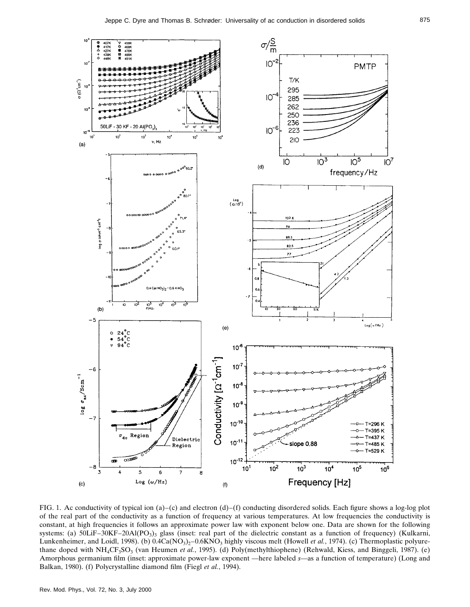

FIG. 1. Ac conductivity of typical ion  $(a)$ –(c) and electron  $(d)$ –(f) conducting disordered solids. Each figure shows a log-log plot of the real part of the conductivity as a function of frequency at various temperatures. At low frequencies the conductivity is constant, at high frequencies it follows an approximate power law with exponent below one. Data are shown for the following systems: (a)  $50\text{LiF}-30\text{KF}-20\text{Al}(PO_3)$ <sub>3</sub> glass (inset: real part of the dielectric constant as a function of frequency) (Kulkarni, Lunkenheimer, and Loidl, 1998). (b)  $0.4Ca(NO<sub>3</sub>)<sub>2</sub>–0.6KNO<sub>3</sub>$  highly viscous melt (Howell *et al.*, 1974). (c) Thermoplastic polyurethane doped with NH<sub>4</sub>CF<sub>3</sub>SO<sub>3</sub> (van Heumen *et al.*, 1995). (d) Poly(methylthiophene) (Rehwald, Kiess, and Binggeli, 1987). (e) Amorphous germanium film (inset: approximate power-law exponent —here labeled *s*—as a function of temperature) (Long and Balkan, 1980). (f) Polycrystalline diamond film (Fiegl *et al.*, 1994).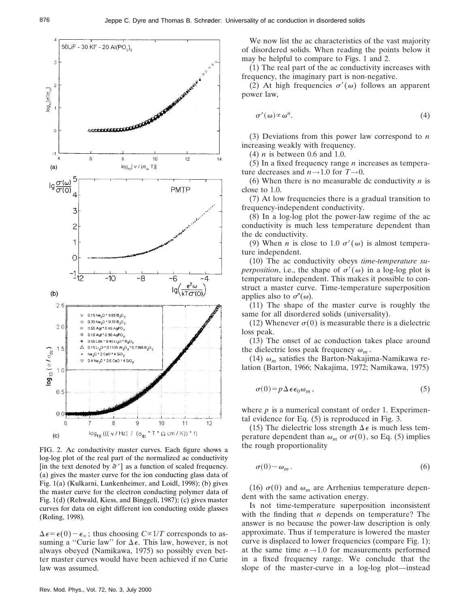

FIG. 2. Ac conductivity master curves. Each figure shows a log-log plot of the real part of the normalized ac conductivity [in the text denoted by  $\tilde{\sigma}'$ ] as a function of scaled frequency. (a) gives the master curve for the ion conducting glass data of Fig. 1(a) (Kulkarni, Lunkenheimer, and Loidl, 1998); (b) gives the master curve for the electron conducting polymer data of Fig. 1(d) (Rehwald, Kiess, and Binggeli, 1987); (c) gives master curves for data on eight different ion conducting oxide glasses (Roling, 1998).

 $\Delta \epsilon = \epsilon(0) - \epsilon_{\infty}$ ; thus choosing  $C \propto 1/T$  corresponds to assuming a "Curie law" for  $\Delta \epsilon$ . This law, however, is not always obeyed (Namikawa, 1975) so possibly even better master curves would have been achieved if no Curie law was assumed.

(1) The real part of the ac conductivity increases with frequency, the imaginary part is non-negative.

(2) At high frequencies  $\sigma'(\omega)$  follows an apparent power law,

$$
\sigma'(\omega) \propto \omega^n. \tag{4}
$$

(3) Deviations from this power law correspond to *n* increasing weakly with frequency.

(4) *n* is between 0.6 and 1.0.

(5) In a fixed frequency range *n* increases as temperature decreases and  $n \rightarrow 1.0$  for  $T \rightarrow 0$ .

(6) When there is no measurable dc conductivity *n* is close to 1.0.

(7) At low frequencies there is a gradual transition to frequency-independent conductivity.

(8) In a log-log plot the power-law regime of the ac conductivity is much less temperature dependent than the dc conductivity.

(9) When *n* is close to 1.0  $\sigma'(\omega)$  is almost temperature independent.

(10) The ac conductivity obeys *time-temperature superposition*, i.e., the shape of  $\sigma'(\omega)$  in a log-log plot is temperature independent. This makes it possible to construct a master curve. Time-temperature superposition applies also to  $\sigma''(\omega)$ .

(11) The shape of the master curve is roughly the same for all disordered solids (universality).

(12) Whenever  $\sigma(0)$  is measurable there is a dielectric loss peak.

(13) The onset of ac conduction takes place around the dielectric loss peak frequency  $\omega_m$ .

(14)  $\omega_m$  satisfies the Barton-Nakajima-Namikawa relation (Barton, 1966; Nakajima, 1972; Namikawa, 1975)

$$
\sigma(0) = p \Delta \epsilon \epsilon_0 \omega_m, \qquad (5)
$$

where *p* is a numerical constant of order 1. Experimental evidence for Eq. (5) is reproduced in Fig. 3.

(15) The dielectric loss strength  $\Delta \epsilon$  is much less temperature dependent than  $\omega_m$  or  $\sigma(0)$ , so Eq. (5) implies the rough proportionality

$$
\sigma(0) \sim \omega_m \,. \tag{6}
$$

(16)  $\sigma(0)$  and  $\omega_m$  are Arrhenius temperature dependent with the same activation energy.

Is not time-temperature superposition inconsistent with the finding that *n* depends on temperature? The answer is no because the power-law description is only approximate. Thus if temperature is lowered the master curve is displaced to lower frequencies (compare Fig. 1); at the same time  $n \rightarrow 1.0$  for measurements performed in a fixed frequency range. We conclude that the slope of the master-curve in a log-log plot—instead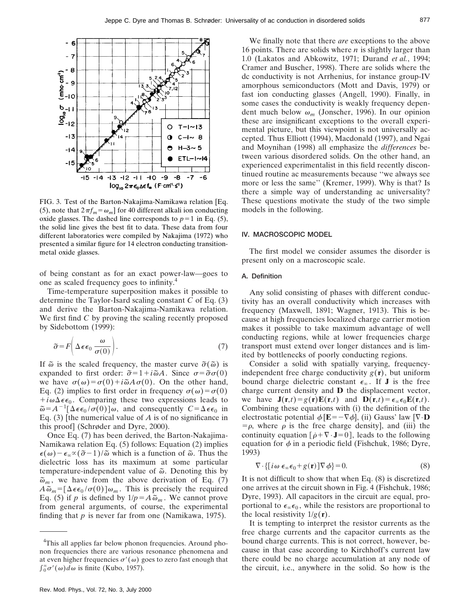

FIG. 3. Test of the Barton-Nakajima-Namikawa relation [Eq. (5), note that  $2\pi f_m = \omega_m$  for 40 different alkali ion conducting oxide glasses. The dashed line corresponds to  $p=1$  in Eq. (5), the solid line gives the best fit to data. These data from four different laboratories were compiled by Nakajima (1972) who presented a similar figure for 14 electron conducting transitionmetal oxide glasses.

of being constant as for an exact power-law—goes to one as scaled frequency goes to infinity.4

Time-temperature superposition makes it possible to determine the Taylor-Isard scaling constant *C* of Eq. (3) and derive the Barton-Nakajima-Namikawa relation. We first find *C* by proving the scaling recently proposed by Sidebottom (1999):

$$
\widetilde{\sigma} = F\left(\Delta \epsilon \epsilon_0 \frac{\omega}{\sigma(0)}\right). \tag{7}
$$

If  $\tilde{\omega}$  is the scaled frequency, the master curve  $\tilde{\sigma}(\tilde{\omega})$  is expanded to first order:  $\tilde{\sigma} = 1 + i \tilde{\omega} A$ . Since  $\sigma = \tilde{\sigma} \sigma(0)$ we have  $\sigma(\omega) = \sigma(0) + i \tilde{\omega} A \sigma(0)$ . On the other hand, Eq. (2) implies to first order in frequency  $\sigma(\omega) = \sigma(0)$  $+i\omega\Delta\epsilon\epsilon_0$ . Comparing these two expressions leads to  $\tilde{\omega} = A^{-1}[\Delta \epsilon \epsilon_0 / \sigma(0)] \omega$ , and consequently  $C = \Delta \epsilon \epsilon_0$  in Eq. (3) [the numerical value of *A* is of no significance in this proof] (Schrøder and Dyre, 2000).

Once Eq. (7) has been derived, the Barton-Nakajima-Namikawa relation Eq. (5) follows: Equation (2) implies  $\epsilon(\omega)$  –  $\epsilon_{\infty} \propto (\tilde{\sigma}$  – 1)/ $\tilde{\omega}$  which is a function of  $\tilde{\omega}$ . Thus the dielectric loss has its maximum at some particular temperature-independent value of  $\tilde{\omega}$ . Denoting this by  $\tilde{\omega}_m$ , we have from the above derivation of Eq. (7)  $A\tilde{\omega}_m = [\Delta \epsilon \epsilon_0 / \sigma(0)] \omega_m$ . This is precisely the required Eq. (5) if *p* is defined by  $1/p = A\tilde{\omega}_m$ . We cannot prove from general arguments, of course, the experimental finding that *p* is never far from one (Namikawa, 1975).

We finally note that there *are* exceptions to the above 16 points. There are solids where *n* is slightly larger than 1.0 (Lakatos and Abkowitz, 1971; Durand *et al.*, 1994; Cramer and Buscher, 1998). There are solids where the dc conductivity is not Arrhenius, for instance group-IV amorphous semiconductors (Mott and Davis, 1979) or fast ion conducting glasses (Angell, 1990). Finally, in some cases the conductivity is weakly frequency dependent much below  $\omega_m$  (Jonscher, 1996). In our opinion these are insignificant exceptions to the overall experimental picture, but this viewpoint is not universally accepted. Thus Elliott (1994), Macdonald (1997), and Ngai and Moynihan (1998) all emphasize the *differences* between various disordered solids. On the other hand, an experienced experimentalist in this field recently discontinued routine ac measurements because ''we always see more or less the same'' (Kremer, 1999). Why is that? Is there a simple way of understanding ac universality? These questions motivate the study of the two simple models in the following.

#### **IV. MACROSCOPIC MODEL**

The first model we consider assumes the disorder is present only on a macroscopic scale.

#### **A. Definition**

Any solid consisting of phases with different conductivity has an overall conductivity which increases with frequency (Maxwell, 1891; Wagner, 1913). This is because at high frequencies localized charge carrier motion makes it possible to take maximum advantage of well conducting regions, while at lower frequencies charge transport must extend over longer distances and is limited by bottlenecks of poorly conducting regions.

Consider a solid with spatially varying, frequencyindependent free charge conductivity  $g(\mathbf{r})$ , but uniform bound charge dielectric constant  $\epsilon_{\infty}$ . If **J** is the free charge current density and **D** the displacement vector, we have  $\mathbf{J}(\mathbf{r},t) = g(\mathbf{r})\mathbf{E}(\mathbf{r},t)$  and  $\mathbf{D}(\mathbf{r},t) = \epsilon_{\infty} \epsilon_0 \mathbf{E}(\mathbf{r},t)$ . Combining these equations with (i) the definition of the electrostatic potential  $\phi$  [**E**= $-\nabla \phi$ ], (ii) Gauss' law [ $\nabla \cdot$ **D**  $= \rho$ , where  $\rho$  is the free charge density], and (iii) the continuity equation  $\lceil \dot{\rho} + \nabla \cdot \mathbf{J} = 0 \rceil$ , leads to the following equation for  $\phi$  in a periodic field (Fishchuk, 1986; Dyre, 1993)

$$
\nabla \cdot \{ [i\omega \epsilon_{\infty} \epsilon_0 + g(\mathbf{r})] \nabla \phi \} = 0.
$$
 (8)

It is not difficult to show that when Eq. (8) is discretized one arrives at the circuit shown in Fig. 4 (Fishchuk, 1986; Dyre, 1993). All capacitors in the circuit are equal, proportional to  $\epsilon_{\infty} \epsilon_0$ , while the resistors are proportional to the local resistivity  $1/g(r)$ .

It is tempting to interpret the resistor currents as the free charge currents and the capacitor currents as the bound charge currents. This is not correct, however, because in that case according to Kirchhoff's current law there could be no charge accumulation at any node of the circuit, i.e., anywhere in the solid. So how is the

<sup>&</sup>lt;sup>4</sup>This all applies far below phonon frequencies. Around phonon frequencies there are various resonance phenomena and at even higher frequencies  $\sigma'(\omega)$  goes to zero fast enough that  $\int_0^\infty \sigma'(\omega) d\omega$  is finite (Kubo, 1957).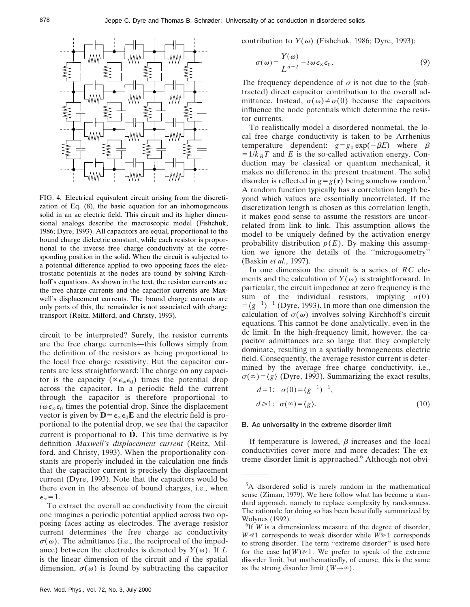

FIG. 4. Electrical equivalent circuit arising from the discretization of Eq. (8), the basic equation for an inhomogeneous solid in an ac electric field. This circuit and its higher dimensional analogs describe the macroscopic model (Fishchuk, 1986; Dyre, 1993). All capacitors are equal, proportional to the bound charge dielectric constant, while each resistor is proportional to the inverse free charge conductivity at the corresponding position in the solid. When the circuit is subjected to a potential difference applied to two opposing faces the electrostatic potentials at the nodes are found by solving Kirchhoff's equations. As shown in the text, the resistor currents are the free charge currents and the capacitor currents are Maxwell's displacement currents. The bound charge currents are only parts of this, the remainder is not associated with charge transport (Reitz, Milford, and Christy, 1993).

circuit to be interpreted? Surely, the resistor currents are the free charge currents—this follows simply from the definition of the resistors as being proportional to the local free charge resistivity. But the capacitor currents are less straightforward: The charge on any capacitor is the capacity ( $\propto \epsilon_{\infty} \epsilon_0$ ) times the potential drop across the capacitor. In a periodic field the current through the capacitor is therefore proportional to  $i\omega \epsilon_{\infty} \epsilon_0$  times the potential drop. Since the displacement vector is given by  $\mathbf{D} = \epsilon_{\infty} \epsilon_0 \mathbf{E}$  and the electric field is proportional to the potential drop, we see that the capacitor current is proportional to **D˙** . This time derivative is by definition *Maxwell's displacement current* (Reitz, Milford, and Christy, 1993). When the proportionality constants are properly included in the calculation one finds that the capacitor current is precisely the displacement current (Dyre, 1993). Note that the capacitors would be there even in the absence of bound charges, i.e., when  $\epsilon_{\infty} = 1.$ 

To extract the overall ac conductivity from the circuit one imagines a periodic potential applied across two opposing faces acting as electrodes. The average resistor current determines the free charge ac conductivity  $\sigma(\omega)$ . The admittance (i.e., the reciprocal of the impedance) between the electrodes is denoted by  $Y(\omega)$ . If L is the linear dimension of the circuit and *d* the spatial dimension,  $\sigma(\omega)$  is found by subtracting the capacitor

contribution to  $Y(\omega)$  (Fishchuk, 1986; Dyre, 1993):

$$
\sigma(\omega) = \frac{Y(\omega)}{L^{d-2}} - i\omega \epsilon_{\infty} \epsilon_0.
$$
\n(9)

The frequency dependence of  $\sigma$  is not due to the (subtracted) direct capacitor contribution to the overall admittance. Instead,  $\sigma(\omega) \neq \sigma(0)$  because the capacitors influence the node potentials which determine the resistor currents.

To realistically model a disordered nonmetal, the local free charge conductivity is taken to be Arrhenius temperature dependent:  $g = g_0 \exp(-\beta E)$  where  $\beta$  $=1/k_BT$  and *E* is the so-called activation energy. Conduction may be classical or quantum mechanical, it makes no difference in the present treatment. The solid disorder is reflected in  $g = g(r)$  being somehow random.<sup>5</sup> A random function typically has a correlation length beyond which values are essentially uncorrelated. If the discretization length is chosen as this correlation length, it makes good sense to assume the resistors are uncorrelated from link to link. This assumption allows the model to be uniquely defined by the activation energy probability distribution  $p(E)$ . By making this assumption we ignore the details of the ''microgeometry'' (Baskin *et al.*, 1997).

In one dimension the circuit is a series of *RC* elements and the calculation of  $Y(\omega)$  is straightforward. In particular, the circuit impedance at zero frequency is the sum of the individual resistors, implying  $\sigma(0)$  $=\langle g^{-1} \rangle^{-1}$  (Dyre, 1993). In more than one dimension the calculation of  $\sigma(\omega)$  involves solving Kirchhoff's circuit equations. This cannot be done analytically, even in the dc limit. In the high-frequency limit, however, the capacitor admittances are so large that they completely dominate, resulting in a spatially homogeneous electric field. Consequently, the average resistor current is determined by the average free charge conductivity, i.e.,  $\sigma(\infty) = \langle g \rangle$  (Dyre, 1993). Summarizing the exact results,

$$
d=1: \quad \sigma(0) = \langle g^{-1} \rangle^{-1},
$$
  
\n
$$
d \ge 1: \quad \sigma(\infty) = \langle g \rangle.
$$
 (10)

#### **B. Ac universality in the extreme disorder limit**

If temperature is lowered,  $\beta$  increases and the local conductivities cover more and more decades: The extreme disorder limit is approached.<sup>6</sup> Although not obvi-

<sup>&</sup>lt;sup>5</sup>A disordered solid is rarely random in the mathematical sense (Ziman, 1979). We here follow what has become a standard approach, namely to replace complexity by randomness. The rationale for doing so has been beautifully summarized by Wolynes (1992).

<sup>&</sup>lt;sup>6</sup>If *W* is a dimensionless measure of the degree of disorder,  $W \le 1$  corresponds to weak disorder while  $W \ge 1$  corresponds to strong disorder. The term ''extreme disorder'' is used here for the case  $ln(W) \ge 1$ . We prefer to speak of the extreme disorder limit, but mathematically, of course, this is the same as the strong disorder limit  $(W \rightarrow \infty)$ .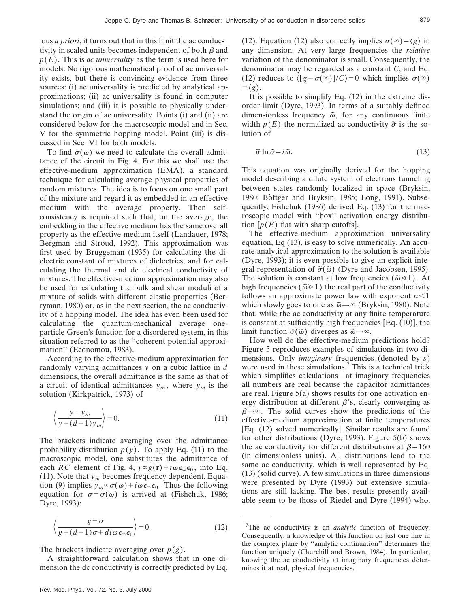ous *a priori*, it turns out that in this limit the ac conductivity in scaled units becomes independent of both  $\beta$  and *p*(*E*). This is *ac universality* as the term is used here for models. No rigorous mathematical proof of ac universality exists, but there is convincing evidence from three sources: (i) ac universality is predicted by analytical approximations; (ii) ac universality is found in computer simulations; and (iii) it is possible to physically understand the origin of ac universality. Points (i) and (ii) are considered below for the macroscopic model and in Sec. V for the symmetric hopping model. Point (iii) is discussed in Sec. VI for both models.

To find  $\sigma(\omega)$  we need to calculate the overall admittance of the circuit in Fig. 4. For this we shall use the effective-medium approximation (EMA), a standard technique for calculating average physical properties of random mixtures. The idea is to focus on one small part of the mixture and regard it as embedded in an effective medium with the average property. Then selfconsistency is required such that, on the average, the embedding in the effective medium has the same overall property as the effective medium itself (Landauer, 1978; Bergman and Stroud, 1992). This approximation was first used by Bruggeman (1935) for calculating the dielectric constant of mixtures of dielectrics, and for calculating the thermal and dc electrical conductivity of mixtures. The effective-medium approximation may also be used for calculating the bulk and shear moduli of a mixture of solids with different elastic properties (Berryman, 1980) or, as in the next section, the ac conductivity of a hopping model. The idea has even been used for calculating the quantum-mechanical average oneparticle Green's function for a disordered system, in this situation referred to as the ''coherent potential approximation'' (Economou, 1983).

According to the effective-medium approximation for randomly varying admittances *y* on a cubic lattice in *d* dimensions, the overall admittance is the same as that of a circuit of identical admittances  $y_m$ , where  $y_m$  is the solution (Kirkpatrick, 1973) of

$$
\left\langle \frac{y - y_m}{y + (d - 1)y_m} \right\rangle = 0.
$$
\n(11)

The brackets indicate averaging over the admittance probability distribution  $p(y)$ . To apply Eq. (11) to the macroscopic model, one substitutes the admittance of each *RC* element of Fig. 4,  $y \propto g(\mathbf{r}) + i \omega \epsilon_{\infty} \epsilon_0$ , into Eq. (11). Note that  $y_m$  becomes frequency dependent. Equation (9) implies  $y_m \propto \sigma(\omega) + i \omega \epsilon_{\infty} \epsilon_0$ . Thus the following equation for  $\sigma = \sigma(\omega)$  is arrived at (Fishchuk, 1986; Dyre, 1993):

$$
\left\langle \frac{g-\sigma}{g+(d-1)\sigma+d i\omega \epsilon_{\infty}\epsilon_0} \right\rangle = 0.
$$
 (12)

The brackets indicate averaging over *p*(*g*).

A straightforward calculation shows that in one dimension the dc conductivity is correctly predicted by Eq. (12). Equation (12) also correctly implies  $\sigma(\infty) = \langle g \rangle$  in any dimension: At very large frequencies the *relative* variation of the denominator is small. Consequently, the denominator may be regarded as a constant *C*, and Eq. (12) reduces to  $\langle [g-\sigma(\infty)]/C \rangle = 0$  which implies  $\sigma(\infty)$  $=\langle g \rangle$ .

It is possible to simplify Eq. (12) in the extreme disorder limit (Dyre, 1993). In terms of a suitably defined dimensionless frequency  $\tilde{\omega}$ , for any continuous finite width  $p(E)$  the normalized ac conductivity  $\tilde{\sigma}$  is the solution of

$$
\tilde{\sigma} \ln \tilde{\sigma} = i \tilde{\omega}.
$$
\n(13)

This equation was originally derived for the hopping model describing a dilute system of electrons tunneling between states randomly localized in space (Bryksin, 1980; Böttger and Bryksin, 1985; Long, 1991). Subsequently, Fishchuk (1986) derived Eq. (13) for the macroscopic model with ''box'' activation energy distribution  $[p(E)]$  flat with sharp cutoffs].

The effective-medium approximation universality equation, Eq (13), is easy to solve numerically. An accurate analytical approximation to the solution is available (Dyre, 1993); it is even possible to give an explicit integral representation of  $\tilde{\sigma}(\tilde{\omega})$  (Dyre and Jacobsen, 1995). The solution is constant at low frequencies ( $\tilde{\omega} \le 1$ ). At high frequencies ( $\tilde{\omega} \ge 1$ ) the real part of the conductivity follows an approximate power law with exponent  $n < 1$ which slowly goes to one as  $\tilde{\omega} \rightarrow \infty$  (Bryksin, 1980). Note that, while the ac conductivity at any finite temperature is constant at sufficiently high frequencies [Eq. (10)], the limit function  $\tilde{\sigma}(\tilde{\omega})$  diverges as  $\tilde{\omega} \rightarrow \infty$ .

How well do the effective-medium predictions hold? Figure 5 reproduces examples of simulations in two dimensions. Only *imaginary* frequencies (denoted by *s*) were used in these simulations.<sup>7</sup> This is a technical trick which simplifies calculations—at imaginary frequencies all numbers are real because the capacitor admittances are real. Figure 5(a) shows results for one activation energy distribution at different  $\beta$ 's, clearly converging as  $\beta \rightarrow \infty$ . The solid curves show the predictions of the effective-medium approximation at finite temperatures [Eq. (12) solved numerically]. Similar results are found for other distributions (Dyre, 1993). Figure 5(b) shows the ac conductivity for different distributions at  $\beta$ =160 (in dimensionless units). All distributions lead to the same ac conductivity, which is well represented by Eq. (13) (solid curve). A few simulations in three dimensions were presented by Dyre (1993) but extensive simulations are still lacking. The best results presently available seem to be those of Riedel and Dyre (1994) who,

<sup>7</sup> The ac conductivity is an *analytic* function of frequency. Consequently, a knowledge of this function on just one line in the complex plane by ''analytic continuation'' determines the function uniquely (Churchill and Brown, 1984). In particular, knowing the ac conductivity at imaginary frequencies determines it at real, physical frequencies.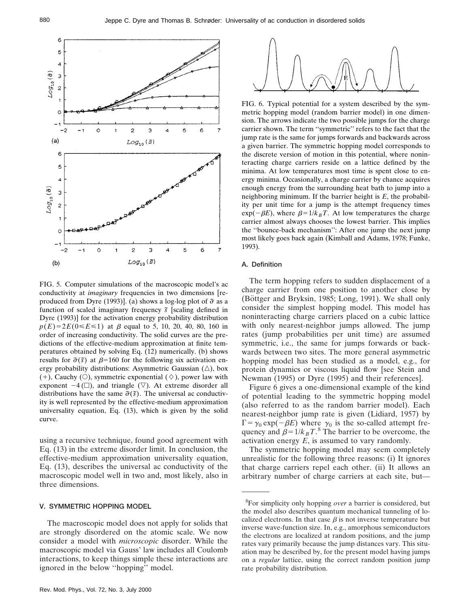

FIG. 5. Computer simulations of the macroscopic model's ac conductivity at *imaginary* frequencies in two dimensions [reproduced from Dyre (1993)]. (a) shows a log-log plot of  $\tilde{\sigma}$  as a function of scaled imaginary frequency *˜<sup>s</sup>* [scaling defined in Dyre (1993)] for the activation energy probability distribution  $p(E)=2E(0 \le E \le 1)$  at  $\beta$  equal to 5, 10, 20, 40, 80, 160 in order of increasing conductivity. The solid curves are the predictions of the effective-medium approximation at finite temperatures obtained by solving Eq. (12) numerically. (b) shows results for  $\tilde{\sigma}(\tilde{s})$  at  $\beta=160$  for the following six activation energy probability distributions: Asymmetric Gaussian  $(\triangle)$ , box  $(+)$ , Cauchy  $(0)$ , symmetric exponential  $(0)$ , power law with exponent  $-4$  ( $\Box$ ), and triangle ( $\nabla$ ). At extreme disorder all distributions have the same  $\tilde{\sigma}(\tilde{s})$ . The universal ac conductivity is well represented by the effective-medium approximation universality equation, Eq. (13), which is given by the solid curve.

using a recursive technique, found good agreement with Eq. (13) in the extreme disorder limit. In conclusion, the effective-medium approximation universality equation, Eq. (13), describes the universal ac conductivity of the macroscopic model well in two and, most likely, also in three dimensions.

#### **V. SYMMETRIC HOPPING MODEL**

The macroscopic model does not apply for solids that are strongly disordered on the atomic scale. We now consider a model with *microscopic* disorder. While the macroscopic model via Gauss' law includes all Coulomb interactions, to keep things simple these interactions are ignored in the below ''hopping'' model.



FIG. 6. Typical potential for a system described by the symmetric hopping model (random barrier model) in one dimension. The arrows indicate the two possible jumps for the charge carrier shown. The term ''symmetric'' refers to the fact that the jump rate is the same for jumps forwards and backwards across a given barrier. The symmetric hopping model corresponds to the discrete version of motion in this potential, where noninteracting charge carriers reside on a lattice defined by the minima. At low temperatures most time is spent close to energy minima. Occasionally, a charge carrier by chance acquires enough energy from the surrounding heat bath to jump into a neighboring minimum. If the barrier height is *E*, the probability per unit time for a jump is the attempt frequency times  $\exp(-\beta E)$ , where  $\beta=1/k_BT$ . At low temperatures the charge carrier almost always chooses the lowest barrier. This implies the ''bounce-back mechanism'': After one jump the next jump most likely goes back again (Kimball and Adams, 1978; Funke, 1993).

## **A. Definition**

The term hopping refers to sudden displacement of a charge carrier from one position to another close by (Böttger and Bryksin, 1985; Long, 1991). We shall only consider the simplest hopping model. This model has noninteracting charge carriers placed on a cubic lattice with only nearest-neighbor jumps allowed. The jump rates (jump probabilities per unit time) are assumed symmetric, i.e., the same for jumps forwards or backwards between two sites. The more general asymmetric hopping model has been studied as a model, e.g., for protein dynamics or viscous liquid flow [see Stein and Newman (1995) or Dyre (1995) and their references].

Figure 6 gives a one-dimensional example of the kind of potential leading to the symmetric hopping model (also referred to as the random barrier model). Each nearest-neighbor jump rate is given (Lidiard, 1957) by  $\Gamma = \gamma_0 \exp(-\beta E)$  where  $\gamma_0$  is the so-called attempt frequency and  $\beta = 1/k_B T$ .<sup>8</sup> The barrier to be overcome, the activation energy *E*, is assumed to vary randomly.

The symmetric hopping model may seem completely unrealistic for the following three reasons: (i) It ignores that charge carriers repel each other. (ii) It allows an arbitrary number of charge carriers at each site, but—

<sup>8</sup> For simplicity only hopping *over* a barrier is considered, but the model also describes quantum mechanical tunneling of localized electrons. In that case  $\beta$  is not inverse temperature but inverse wave-function size. In, e.g., amorphous semiconductors the electrons are localized at random positions, and the jump rates vary primarily because the jump distances vary. This situation may be described by, for the present model having jumps on a *regular* lattice, using the correct random position jump rate probability distribution.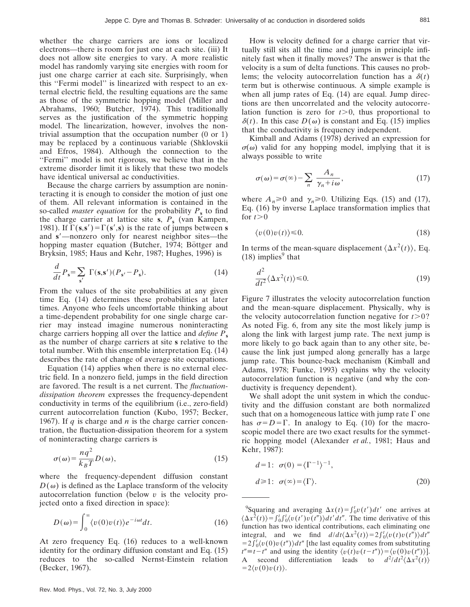whether the charge carriers are ions or localized electrons—there is room for just one at each site. (iii) It does not allow site energies to vary. A more realistic model has randomly varying site energies with room for just one charge carrier at each site. Surprisingly, when this ''Fermi model'' is linearized with respect to an external electric field, the resulting equations are the same as those of the symmetric hopping model (Miller and Abrahams, 1960; Butcher, 1974). This traditionally serves as the justification of the symmetric hopping model. The linearization, however, involves the nontrivial assumption that the occupation number (0 or 1) may be replaced by a continuous variable (Shklovskii and Efros, 1984). Although the connection to the ''Fermi'' model is not rigorous, we believe that in the extreme disorder limit it is likely that these two models have identical universal ac conductivities.

Because the charge carriers by assumption are noninteracting it is enough to consider the motion of just one of them. All relevant information is contained in the so-called *master equation* for the probability  $P_s$  to find the charge carrier at lattice site  $s$ ,  $P_s$  (van Kampen, 1981). If  $\Gamma(s, s') = \Gamma(s', s)$  is the rate of jumps between **s** and **s**<sup> $\prime$ </sup>—nonzero only for nearest neighbor sites—the hopping master equation (Butcher, 1974; Böttger and Bryksin, 1985; Haus and Kehr, 1987; Hughes, 1996) is

$$
\frac{d}{dt}P_s = \sum_{s'} \Gamma(s, s')(P_{s'} - P_s). \tag{14}
$$

From the values of the site probabilities at any given time Eq. (14) determines these probabilities at later times. Anyone who feels uncomfortable thinking about a time-dependent probability for one single charge carrier may instead imagine numerous noninteracting charge carriers hopping all over the lattice and *define P***<sup>s</sup>** as the number of charge carriers at site **s** relative to the total number. With this ensemble interpretation Eq. (14) describes the rate of change of average site occupations.

Equation (14) applies when there is no external electric field. In a nonzero field, jumps in the field direction are favored. The result is a net current. The *fluctuationdissipation theorem* expresses the frequency-dependent conductivity in terms of the equilibrium (i.e., zero-field) current autocorrelation function (Kubo, 1957; Becker, 1967). If *q* is charge and *n* is the charge carrier concentration, the fluctuation-dissipation theorem for a system of noninteracting charge carriers is

$$
\sigma(\omega) = \frac{nq^2}{k_B T} D(\omega),\tag{15}
$$

where the frequency-dependent diffusion constant  $D(\omega)$  is defined as the Laplace transform of the velocity autocorrelation function (below *v* is the velocity projected onto a fixed direction in space):

$$
D(\omega) = \int_0^\infty \langle v(0)v(t) \rangle e^{-i\omega t} dt.
$$
 (16)

At zero frequency Eq. (16) reduces to a well-known identity for the ordinary diffusion constant and Eq. (15) reduces to the so-called Nernst-Einstein relation (Becker, 1967).

How is velocity defined for a charge carrier that virtually still sits all the time and jumps in principle infinitely fast when it finally moves? The answer is that the velocity is a sum of delta functions. This causes no problems; the velocity autocorrelation function has a  $\delta(t)$ term but is otherwise continuous. A simple example is when all jump rates of Eq. (14) are equal. Jump directions are then uncorrelated and the velocity autocorrelation function is zero for  $t>0$ , thus proportional to  $\delta(t)$ . In this case  $D(\omega)$  is constant and Eq. (15) implies that the conductivity is frequency independent.

Kimball and Adams (1978) derived an expression for  $\sigma(\omega)$  valid for any hopping model, implying that it is always possible to write

$$
\sigma(\omega) = \sigma(\infty) - \sum_{n} \frac{A_n}{\gamma_n + i\omega},\tag{17}
$$

where  $A_n \ge 0$  and  $\gamma_n \ge 0$ . Utilizing Eqs. (15) and (17), Eq. (16) by inverse Laplace transformation implies that for  $t>0$ 

$$
\langle v(0)v(t) \rangle \le 0. \tag{18}
$$

In terms of the mean-square displacement  $\langle \Delta x^2(t) \rangle$ , Eq.  $(18)$  implies<sup>9</sup> that

$$
\frac{d^2}{dt^2} \langle \Delta x^2(t) \rangle \le 0.
$$
 (19)

Figure 7 illustrates the velocity autocorrelation function and the mean-square displacement. Physically, why is the velocity autocorrelation function negative for  $t > 0$ ? As noted Fig. 6, from any site the most likely jump is along the link with largest jump rate. The next jump is more likely to go back again than to any other site, because the link just jumped along generally has a large jump rate. This bounce-back mechanism (Kimball and Adams, 1978; Funke, 1993) explains why the velocity autocorrelation function is negative (and why the conductivity is frequency dependent).

We shall adopt the unit system in which the conductivity and the diffusion constant are both normalized such that on a homogeneous lattice with jump rate  $\Gamma$  one has  $\sigma = D = \Gamma$ . In analogy to Eq. (10) for the macroscopic model there are two exact results for the symmetric hopping model (Alexander *et al.*, 1981; Haus and Kehr, 1987):

$$
d=1: \sigma(0) = \langle \Gamma^{-1} \rangle^{-1},
$$
  
\n
$$
d \ge 1: \sigma(\infty) = \langle \Gamma \rangle.
$$
 (20)

<sup>9</sup>Squaring and averaging  $\Delta x(t) = \int_0^t v(t') dt'$  one arrives at  $\langle \Delta x^2(t) \rangle = \int_0^t \int_0^t \langle v(t')v(t'') \rangle dt' dt''$ . The time derivative of this function has two identical contributions, each eliminating one integral, and we find  $d/dt\langle\Delta x^2(t)\rangle = 2\int_0^t \langle v(t)v(t'')\rangle dt''$  $=2\int_0^t \frac{v(0)v(t'')}{dt''}$  [the last equality comes from substituting  $t'' \equiv t - t''$  and using the identity  $\langle v(t)v(t-t'')\rangle = \langle v(0)v(t'')\rangle$ . A second differentiation leads to  $d^2/dt^2 \langle \Delta x^2(t) \rangle$  $=2\langle v(0)v(t)\rangle.$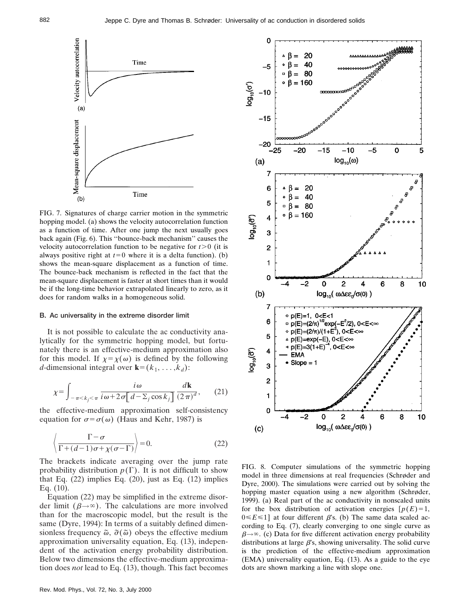

FIG. 7. Signatures of charge carrier motion in the symmetric hopping model. (a) shows the velocity autocorrelation function as a function of time. After one jump the next usually goes back again (Fig. 6). This ''bounce-back mechanism'' causes the velocity autocorrelation function to be negative for  $t > 0$  (it is always positive right at  $t=0$  where it is a delta function). (b) shows the mean-square displacement as a function of time. The bounce-back mechanism is reflected in the fact that the mean-square displacement is faster at short times than it would be if the long-time behavior extrapolated linearly to zero, as it does for random walks in a homogeneous solid.

#### **B. Ac universality in the extreme disorder limit**

It is not possible to calculate the ac conductivity analytically for the symmetric hopping model, but fortunately there is an effective-medium approximation also for this model. If  $\chi=\chi(\omega)$  is defined by the following *d*-dimensional integral over  $\mathbf{k}=(k_1,\ldots,k_d)$ :

$$
\chi = \int_{-\pi < k_j < \pi} \frac{i\omega}{i\omega + 2\sigma \left[d - \sum_j \cos k_j\right]} \frac{d\mathbf{k}}{(2\pi)^d},\qquad(21)
$$

the effective-medium approximation self-consistency equation for  $\sigma = \sigma(\omega)$  (Haus and Kehr, 1987) is

$$
\left\langle \frac{\Gamma - \sigma}{\Gamma + (d - 1)\sigma + \chi(\sigma - \Gamma)} \right\rangle = 0.
$$
 (22)

The brackets indicate averaging over the jump rate probability distribution  $p(\Gamma)$ . It is not difficult to show that Eq.  $(22)$  implies Eq.  $(20)$ , just as Eq.  $(12)$  implies Eq. (10).

Equation (22) may be simplified in the extreme disorder limit ( $\beta \rightarrow \infty$ ). The calculations are more involved than for the macroscopic model, but the result is the same (Dyre, 1994): In terms of a suitably defined dimensionless frequency  $\tilde{\omega}$ ,  $\tilde{\sigma}(\tilde{\omega})$  obeys the effective medium approximation universality equation, Eq. (13), independent of the activation energy probability distribution. Below two dimensions the effective-medium approximation does *not* lead to Eq. (13), though. This fact becomes



FIG. 8. Computer simulations of the symmetric hopping model in three dimensions at real frequencies (Schrøder and Dyre, 2000). The simulations were carried out by solving the hopping master equation using a new algorithm (Schrøder, 1999). (a) Real part of the ac conductivity in nonscaled units for the box distribution of activation energies  $[p(E)=1,$  $0 \le E \le 1$  at four different  $\beta$ 's. (b) The same data scaled according to Eq. (7), clearly converging to one single curve as  $\beta \rightarrow \infty$ . (c) Data for five different activation energy probability distributions at large  $\beta$ 's, showing universality. The solid curve is the prediction of the effective-medium approximation (EMA) universality equation, Eq. (13). As a guide to the eye dots are shown marking a line with slope one.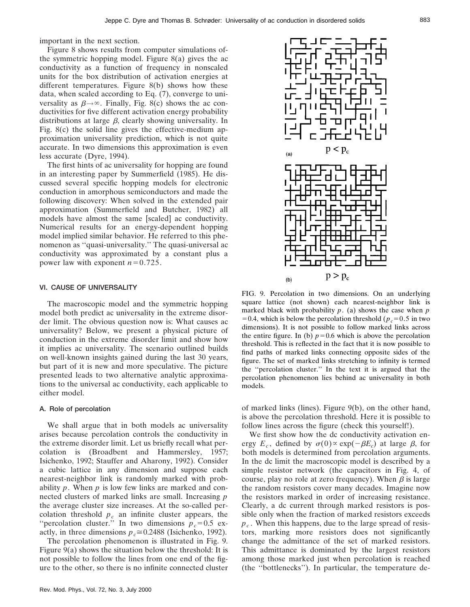important in the next section.

Figure 8 shows results from computer simulations ofthe symmetric hopping model. Figure 8(a) gives the ac conductivity as a function of frequency in nonscaled units for the box distribution of activation energies at different temperatures. Figure 8(b) shows how these data, when scaled according to Eq. (7), converge to universality as  $\beta \rightarrow \infty$ . Finally, Fig. 8(c) shows the ac conductivities for five different activation energy probability distributions at large  $\beta$ , clearly showing universality. In Fig. 8(c) the solid line gives the effective-medium approximation universality prediction, which is not quite accurate. In two dimensions this approximation is even less accurate (Dyre, 1994).

The first hints of ac universality for hopping are found in an interesting paper by Summerfield (1985). He discussed several specific hopping models for electronic conduction in amorphous semiconductors and made the following discovery: When solved in the extended pair approximation (Summerfield and Butcher, 1982) all models have almost the same [scaled] ac conductivity. Numerical results for an energy-dependent hopping model implied similar behavior. He referred to this phenomenon as ''quasi-universality.'' The quasi-universal ac conductivity was approximated by a constant plus a power law with exponent  $n=0.725$ .

## **VI. CAUSE OF UNIVERSALITY**

The macroscopic model and the symmetric hopping model both predict ac universality in the extreme disorder limit. The obvious question now is: What causes ac universality? Below, we present a physical picture of conduction in the extreme disorder limit and show how it implies ac universality. The scenario outlined builds on well-known insights gained during the last 30 years, but part of it is new and more speculative. The picture presented leads to two alternative analytic approximations to the universal ac conductivity, each applicable to either model.

## **A. Role of percolation**

We shall argue that in both models ac universality arises because percolation controls the conductivity in the extreme disorder limit. Let us briefly recall what percolation is (Broadbent and Hammersley, 1957; Isichenko, 1992; Stauffer and Aharony, 1992). Consider a cubic lattice in any dimension and suppose each nearest-neighbor link is randomly marked with probability *p*. When *p* is low few links are marked and connected clusters of marked links are small. Increasing *p* the average cluster size increases. At the so-called percolation threshold  $p_c$  an infinite cluster appears, the "percolation cluster." In two dimensions  $p_c=0.5$  exactly, in three dimensions  $p_c \approx 0.2488$  (Isichenko, 1992).

The percolation phenomenon is illustrated in Fig. 9. Figure 9(a) shows the situation below the threshold: It is not possible to follow the lines from one end of the figure to the other, so there is no infinite connected cluster



FIG. 9. Percolation in two dimensions. On an underlying square lattice (not shown) each nearest-neighbor link is marked black with probability *p*. (a) shows the case when *p* =0.4, which is below the percolation threshold ( $p_c$ =0.5 in two dimensions). It is not possible to follow marked links across the entire figure. In (b)  $p=0.6$  which is above the percolation threshold. This is reflected in the fact that it is now possible to find paths of marked links connecting opposite sides of the figure. The set of marked links stretching to infinity is termed the ''percolation cluster.'' In the text it is argued that the percolation phenomenon lies behind ac universality in both models.

of marked links (lines). Figure 9(b), on the other hand, is above the percolation threshold. Here it is possible to follow lines across the figure (check this yourself!).

We first show how the dc conductivity activation energy  $E_c$ , defined by  $\sigma(0) \propto \exp(-\beta E_c)$  at large  $\beta$ , for both models is determined from percolation arguments. In the dc limit the macroscopic model is described by a simple resistor network (the capacitors in Fig. 4, of course, play no role at zero frequency). When  $\beta$  is large the random resistors cover many decades. Imagine now the resistors marked in order of increasing resistance. Clearly, a dc current through marked resistors is possible only when the fraction of marked resistors exceeds *pc* . When this happens, due to the large spread of resistors, marking more resistors does not significantly change the admittance of the set of marked resistors. This admittance is dominated by the largest resistors among those marked just when percolation is reached (the ''bottlenecks''). In particular, the temperature de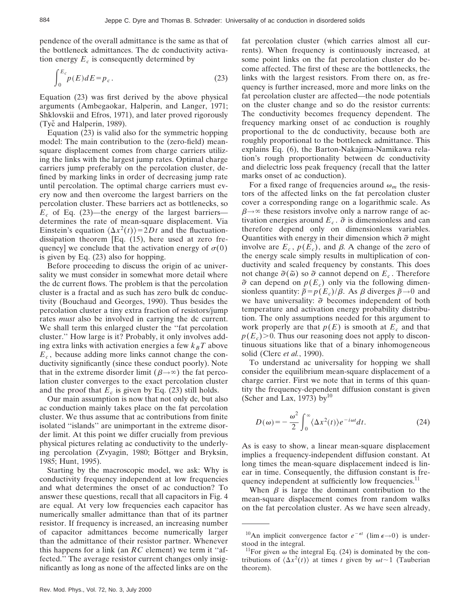pendence of the overall admittance is the same as that of the bottleneck admittances. The dc conductivity activation energy  $E_c$  is consequently determined by

$$
\int_0^{E_c} p(E)dE = p_c.
$$
\n(23)

Equation (23) was first derived by the above physical arguments (Ambegaokar, Halperin, and Langer, 1971; Shklovskii and Efros, 1971), and later proved rigorously (Tyč and Halperin, 1989).

Equation (23) is valid also for the symmetric hopping model: The main contribution to the (zero-field) meansquare displacement comes from charge carriers utilizing the links with the largest jump rates. Optimal charge carriers jump preferably on the percolation cluster, defined by marking links in order of decreasing jump rate until percolation. The optimal charge carriers must every now and then overcome the largest barriers on the percolation cluster. These barriers act as bottlenecks, so  $E_c$  of Eq. (23)—the energy of the largest barriers determines the rate of mean-square displacement. Via Einstein's equation  $\langle \Delta x^2(t) \rangle = 2Dt$  and the fluctuationdissipation theorem [Eq. (15), here used at zero frequency] we conclude that the activation energy of  $\sigma(0)$ is given by Eq. (23) also for hopping.

Before proceeding to discuss the origin of ac universality we must consider in somewhat more detail where the dc current flows. The problem is that the percolation cluster is a fractal and as such has zero bulk dc conductivity (Bouchaud and Georges, 1990). Thus besides the percolation cluster a tiny extra fraction of resistors/jump rates *must* also be involved in carrying the dc current. We shall term this enlarged cluster the ''fat percolation cluster.'' How large is it? Probably, it only involves adding extra links with activation energies a few  $k_B T$  above  $E_c$ , because adding more links cannot change the conductivity significantly (since these conduct poorly). Note that in the extreme disorder limit ( $\beta \rightarrow \infty$ ) the fat percolation cluster converges to the exact percolation cluster and the proof that  $E_c$  is given by Eq. (23) still holds.

Our main assumption is now that not only dc, but also ac conduction mainly takes place on the fat percolation cluster. We thus assume that ac contributions from finite isolated ''islands'' are unimportant in the extreme disorder limit. At this point we differ crucially from previous physical pictures relating ac conductivity to the underlying percolation (Zvyagin, 1980; Böttger and Bryksin, 1985; Hunt, 1995).

Starting by the macroscopic model, we ask: Why is conductivity frequency independent at low frequencies and what determines the onset of ac conduction? To answer these questions, recall that all capacitors in Fig. 4 are equal. At very low frequencies each capacitor has numerically smaller admittance than that of its partner resistor. If frequency is increased, an increasing number of capacitor admittances become numerically larger than the admittance of their resistor partner. Whenever this happens for a link (an *RC* element) we term it ''affected.'' The average resistor current changes only insignificantly as long as none of the affected links are on the fat percolation cluster (which carries almost all currents). When frequency is continuously increased, at some point links on the fat percolation cluster do become affected. The first of these are the bottlenecks, the links with the largest resistors. From there on, as frequency is further increased, more and more links on the fat percolation cluster are affected—the node potentials on the cluster change and so do the resistor currents: The conductivity becomes frequency dependent. The frequency marking onset of ac conduction is roughly proportional to the dc conductivity, because both are roughly proportional to the bottleneck admittance. This explains Eq. (6), the Barton-Nakajima-Namikawa relation's rough proportionality between dc conductivity and dielectric loss peak frequency (recall that the latter marks onset of ac conduction).

For a fixed range of frequencies around  $\omega_m$  the resistors of the affected links on the fat percolation cluster cover a corresponding range on a logarithmic scale. As  $\beta \rightarrow \infty$  these resistors involve only a narrow range of activation energies around  $E_c$ .  $\tilde{\sigma}$  is dimensionless and can therefore depend only on dimensionless variables. Quantities with energy in their dimension which  $\tilde{\sigma}$  might involve are  $E_c$ ,  $p(E_c)$ , and  $\beta$ . A change of the zero of the energy scale simply results in multiplication of conductivity and scaled frequency by constants. This does not change  $\tilde{\sigma}(\tilde{\omega})$  so  $\tilde{\sigma}$  cannot depend on  $E_c$ . Therefore  $\tilde{\sigma}$  can depend on  $p(E_c)$  only via the following dimensionless quantity:  $\tilde{p} = p(E_c)/\beta$ . As  $\beta$  diverges  $\tilde{p} \rightarrow 0$  and we have universality:  $\tilde{\sigma}$  becomes independent of both temperature and activation energy probability distribution. The only assumptions needed for this argument to work properly are that  $p(E)$  is smooth at  $E_c$  and that  $p(E_c)$ >0. Thus our reasoning does not apply to discontinuous situations like that of a binary inhomogeneous solid (Clerc *et al.*, 1990).

To understand ac universality for hopping we shall consider the equilibrium mean-square displacement of a charge carrier. First we note that in terms of this quantity the frequency-dependent diffusion constant is given (Scher and Lax, 1973) by $^{10}$ 

$$
D(\omega) = -\frac{\omega^2}{2} \int_0^\infty \langle \Delta x^2(t) \rangle e^{-i\omega t} dt.
$$
 (24)

As is easy to show, a linear mean-square displacement implies a frequency-independent diffusion constant. At long times the mean-square displacement indeed is linear in time. Consequently, the diffusion constant is frequency independent at sufficiently low frequencies.<sup>11</sup>

When  $\beta$  is large the dominant contribution to the mean-square displacement comes from random walks on the fat percolation cluster. As we have seen already,

<sup>&</sup>lt;sup>10</sup>An implicit convergence factor  $e^{-\epsilon t}$  (lim  $\epsilon \rightarrow 0$ ) is understood in the integral.

<sup>&</sup>lt;sup>11</sup>For given  $\omega$  the integral Eq. (24) is dominated by the contributions of  $\langle \Delta x^2(t) \rangle$  at times *t* given by  $\omega t \sim 1$  (Tauberian theorem).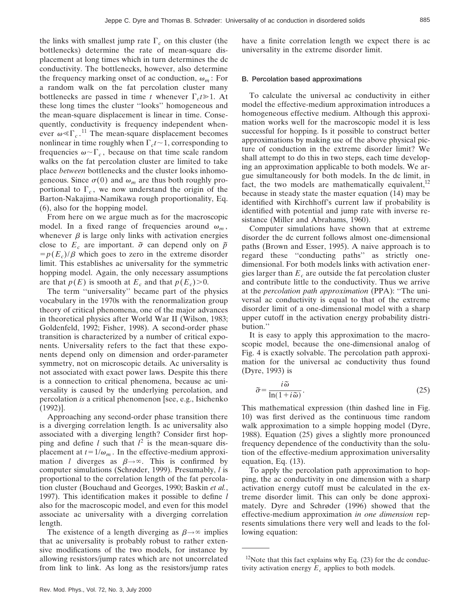the links with smallest jump rate  $\Gamma_c$  on this cluster (the bottlenecks) determine the rate of mean-square displacement at long times which in turn determines the dc conductivity. The bottlenecks, however, also determine the frequency marking onset of ac conduction,  $\omega_m$ : For a random walk on the fat percolation cluster many bottlenecks are passed in time *t* whenever  $\Gamma_c t \ge 1$ . At these long times the cluster ''looks'' homogeneous and the mean-square displacement is linear in time. Consequently, conductivity is frequency independent whenever  $\omega \ll \Gamma_c$ .<sup>11</sup> The mean-square displacement becomes nonlinear in time roughly when  $\Gamma_c t \sim 1$ , corresponding to frequencies  $\omega \sim \Gamma_c$ , because on that time scale random walks on the fat percolation cluster are limited to take place *between* bottlenecks and the cluster looks inhomogeneous. Since  $\sigma(0)$  and  $\omega_m$  are thus both roughly proportional to  $\Gamma_c$ , we now understand the origin of the Barton-Nakajima-Namikawa rough proportionality, Eq. (6), also for the hopping model.

From here on we argue much as for the macroscopic model. In a fixed range of frequencies around  $\omega_m$ , whenever  $\beta$  is large only links with activation energies close to  $E_c$  are important.  $\tilde{\sigma}$  can depend only on  $\tilde{p}$  $=p(E_c)/\beta$  which goes to zero in the extreme disorder limit. This establishes ac universality for the symmetric hopping model. Again, the only necessary assumptions are that  $p(E)$  is smooth at  $E_c$  and that  $p(E_c) > 0$ .

The term ''universality'' became part of the physics vocabulary in the 1970s with the renormalization group theory of critical phenomena, one of the major advances in theoretical physics after World War II (Wilson, 1983; Goldenfeld, 1992; Fisher, 1998). A second-order phase transition is characterized by a number of critical exponents. Universality refers to the fact that these exponents depend only on dimension and order-parameter symmetry, not on microscopic details. Ac universality is not associated with exact power laws. Despite this there is a connection to critical phenomena, because ac universality is caused by the underlying percolation, and percolation *is* a critical phenomenon [see, e.g., Isichenko (1992)].

Approaching any second-order phase transition there is a diverging correlation length. Is ac universality also associated with a diverging length? Consider first hopping and define  $l$  such that  $l^2$  is the mean-square displacement at  $t=1/\omega_m$ . In the effective-medium approximation *l* diverges as  $\beta \rightarrow \infty$ . This is confirmed by computer simulations (Schrøder, 1999). Presumably, *l* is proportional to the correlation length of the fat percolation cluster (Bouchaud and Georges, 1990; Baskin *et al.*, 1997). This identification makes it possible to define *l* also for the macroscopic model, and even for this model associate ac universality with a diverging correlation length.

The existence of a length diverging as  $\beta \rightarrow \infty$  implies that ac universality is probably robust to rather extensive modifications of the two models, for instance by allowing resistors/jump rates which are not uncorrelated from link to link. As long as the resistors/jump rates have a finite correlation length we expect there is ac universality in the extreme disorder limit.

## **B. Percolation based approximations**

To calculate the universal ac conductivity in either model the effective-medium approximation introduces a homogeneous effective medium. Although this approximation works well for the macroscopic model it is less successful for hopping. Is it possible to construct better approximations by making use of the above physical picture of conduction in the extreme disorder limit? We shall attempt to do this in two steps, each time developing an approximation applicable to both models. We argue simultaneously for both models. In the dc limit, in fact, the two models are mathematically equivalent,  $12$ because in steady state the master equation (14) may be identified with Kirchhoff's current law if probability is identified with potential and jump rate with inverse resistance (Miller and Abrahams, 1960).

Computer simulations have shown that at extreme disorder the dc current follows almost one-dimensional paths (Brown and Esser, 1995). A naive approach is to regard these ''conducting paths'' as strictly onedimensional. For both models links with activation energies larger than  $E_c$  are outside the fat percolation cluster and contribute little to the conductivity. Thus we arrive at the *percolation path approximation* (PPA): ''The universal ac conductivity is equal to that of the extreme disorder limit of a one-dimensional model with a sharp upper cutoff in the activation energy probability distribution.''

It is easy to apply this approximation to the macroscopic model, because the one-dimensional analog of Fig. 4 is exactly solvable. The percolation path approximation for the universal ac conductivity thus found (Dyre, 1993) is

$$
\tilde{\sigma} = \frac{i\,\tilde{\omega}}{\ln(1 + i\,\tilde{\omega})}.\tag{25}
$$

This mathematical expression (thin dashed line in Fig. 10) was first derived as the continuous time random walk approximation to a simple hopping model (Dyre, 1988). Equation (25) gives a slightly more pronounced frequency dependence of the conductivity than the solution of the effective-medium approximation universality equation, Eq. (13).

To apply the percolation path approximation to hopping, the ac conductivity in one dimension with a sharp activation energy cutoff must be calculated in the extreme disorder limit. This can only be done approximately. Dyre and Schrøder (1996) showed that the effective-medium approximation *in one dimension* represents simulations there very well and leads to the following equation:

 $12$ Note that this fact explains why Eq. (23) for the dc conductivity activation energy  $E_c$  applies to both models.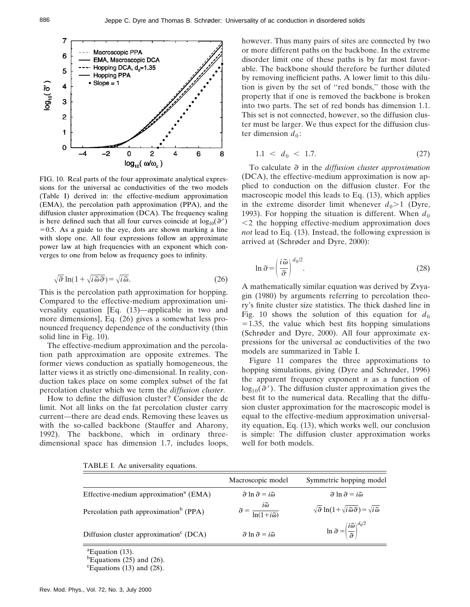

FIG. 10. Real parts of the four approximate analytical expressions for the universal ac conductivities of the two models (Table I) derived in: the effective-medium approximation (EMA), the percolation path approximation (PPA), and the diffusion cluster approximation (DCA). The frequency scaling is here defined such that all four curves coincide at  $log_{10}(\tilde{\sigma}^{\prime})$  $=0.5$ . As a guide to the eye, dots are shown marking a line with slope one. All four expressions follow an approximate power law at high frequencies with an exponent which converges to one from below as frequency goes to infinity.

$$
\sqrt{\tilde{\sigma}}\ln(1+\sqrt{i\tilde{\omega}\tilde{\sigma}})=\sqrt{i\tilde{\omega}}.\tag{26}
$$

This is the percolation path approximation for hopping. Compared to the effective-medium approximation universality equation [Eq. (13)—applicable in two and more dimensions], Eq. (26) gives a somewhat less pronounced frequency dependence of the conductivity (thin solid line in Fig. 10).

The effective-medium approximation and the percolation path approximation are opposite extremes. The former views conduction as spatially homogeneous, the latter views it as strictly one-dimensional. In reality, conduction takes place on some complex subset of the fat percolation cluster which we term the *diffusion cluster*.

How to define the diffusion cluster? Consider the dc limit. Not all links on the fat percolation cluster carry current—there are dead ends. Removing these leaves us with the so-called backbone (Stauffer and Aharony, 1992). The backbone, which in ordinary threedimensional space has dimension 1.7, includes loops, however. Thus many pairs of sites are connected by two or more different paths on the backbone. In the extreme disorder limit one of these paths is by far most favorable. The backbone should therefore be further diluted by removing inefficient paths. A lower limit to this dilution is given by the set of ''red bonds,'' those with the property that if one is removed the backbone is broken into two parts. The set of red bonds has dimension 1.1. This set is not connected, however, so the diffusion cluster must be larger. We thus expect for the diffusion cluster dimension  $d_0$ :

$$
1.1 < d_0 < 1.7. \tag{27}
$$

To calculate  $\tilde{\sigma}$  in the *diffusion cluster approximation* (DCA), the effective-medium approximation is now applied to conduction on the diffusion cluster. For the macroscopic model this leads to Eq. (13), which applies in the extreme disorder limit whenever  $d_0$  > 1 (Dyre, 1993). For hopping the situation is different. When  $d_0$  $<$ 2 the hopping effective-medium approximation does *not* lead to Eq. (13). Instead, the following expression is arrived at (Schrøder and Dyre, 2000):

$$
\ln \tilde{\sigma} = \left(\frac{i\tilde{\omega}}{\tilde{\sigma}}\right)^{d_0/2}.\tag{28}
$$

A mathematically similar equation was derived by Zvyagin (1980) by arguments referring to percolation theory's finite cluster size statistics. The thick dashed line in Fig. 10 shows the solution of this equation for  $d_0$  $=1.35$ , the value which best fits hopping simulations (Schrøder and Dyre, 2000). All four approximate expressions for the universal ac conductivities of the two models are summarized in Table I.

Figure 11 compares the three approximations to hopping simulations, giving (Dyre and Schrøder, 1996) the apparent frequency exponent *n* as a function of  $log_{10}(\tilde{\sigma}')$ . The diffusion cluster approximation gives the best fit to the numerical data. Recalling that the diffusion cluster approximation for the macroscopic model is equal to the effective-medium approximation universality equation, Eq. (13), which works well, our conclusion is simple: The diffusion cluster approximation works well for both models.

TABLE I. Ac universality equations.

|                                                    | Macroscopic model                                                             | Symmetric hopping model                                                                           |
|----------------------------------------------------|-------------------------------------------------------------------------------|---------------------------------------------------------------------------------------------------|
| Effective-medium approximation <sup>a</sup> (EMA)  | $\tilde{\sigma}$ ln $\tilde{\sigma} = i\tilde{\omega}$                        | $\tilde{\sigma}$ ln $\tilde{\sigma} = i\tilde{\omega}$                                            |
| Percolation path approximation <sup>b</sup> (PPA)  | $\widetilde{\sigma} = \frac{i\widetilde{\omega}}{\ln(1+i\widetilde{\omega})}$ | $\sqrt{\tilde{\sigma}} \ln(1 + \sqrt{i \tilde{\omega} \tilde{\sigma}}) = \sqrt{i \tilde{\omega}}$ |
| Diffusion cluster approximation <sup>c</sup> (DCA) | $\tilde{\sigma}$ ln $\tilde{\sigma} = i\tilde{\omega}$                        | $\ln \tilde{\sigma} = \left(\frac{i\tilde{\omega}}{\tilde{\sigma}}\right)^{d_0/2}$                |

 $^{\text{a}}$ Equation (13).

 ${}^{\text{b}}$ Equations (25) and (26).

 ${}^{\text{c}}$ Equations (13) and (28).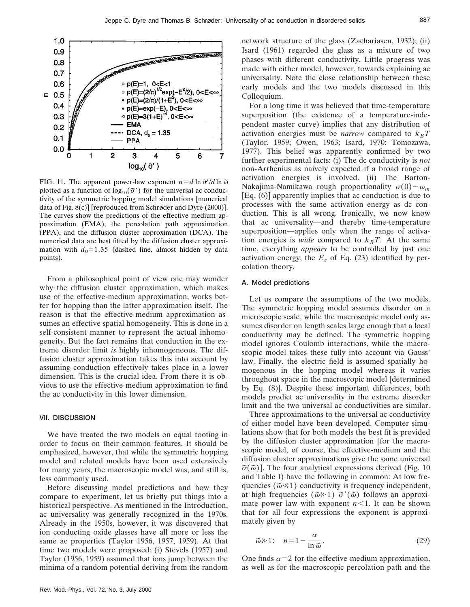

FIG. 11. The apparent power-law exponent  $n \equiv d \ln \tilde{\sigma}^{\prime}/d \ln \tilde{\omega}$ plotted as a function of  $log_{10}(\tilde{\sigma}')$  for the universal ac conductivity of the symmetric hopping model simulations [numerical data of Fig. 8(c)] [reproduced from Schrøder and Dyre (2000)]. The curves show the predictions of the effective medium approximation (EMA), the percolation path approximation (PPA), and the diffusion cluster approximation (DCA). The numerical data are best fitted by the diffusion cluster approximation with  $d_0=1.35$  (dashed line, almost hidden by data points).

From a philosophical point of view one may wonder why the diffusion cluster approximation, which makes use of the effective-medium approximation, works better for hopping than the latter approximation itself. The reason is that the effective-medium approximation assumes an effective spatial homogeneity. This is done in a self-consistent manner to represent the actual inhomogeneity. But the fact remains that conduction in the extreme disorder limit *is* highly inhomogeneous. The diffusion cluster approximation takes this into account by assuming conduction effectively takes place in a lower dimension. This is the crucial idea. From there it is obvious to use the effective-medium approximation to find the ac conductivity in this lower dimension.

## **VII. DISCUSSION**

We have treated the two models on equal footing in order to focus on their common features. It should be emphasized, however, that while the symmetric hopping model and related models have been used extensively for many years, the macroscopic model was, and still is, less commonly used.

Before discussing model predictions and how they compare to experiment, let us briefly put things into a historical perspective. As mentioned in the Introduction, ac universality was generally recognized in the 1970s. Already in the 1950s, however, it was discovered that ion conducting oxide glasses have all more or less the same ac properties (Taylor 1956, 1957, 1959). At that time two models were proposed: (i) Stevels (1957) and Taylor (1956, 1959) assumed that ions jump between the minima of a random potential deriving from the random network structure of the glass (Zachariasen, 1932); (ii) Isard (1961) regarded the glass as a mixture of two phases with different conductivity. Little progress was made with either model, however, towards explaining ac universality. Note the close relationship between these early models and the two models discussed in this Colloquium.

For a long time it was believed that time-temperature superposition (the existence of a temperature-independent master curve) implies that any distribution of activation energies must be *narrow* compared to  $k_B T$ (Taylor, 1959; Owen, 1963; Isard, 1970; Tomozawa, 1977). This belief was apparently confirmed by two further experimental facts: (i) The dc conductivity is *not* non-Arrhenius as naively expected if a broad range of activation energies is involved. (ii) The Barton-Nakajima-Namikawa rough proportionality  $\sigma(0) \sim \omega_m$ [Eq. (6)] apparently implies that ac conduction is due to processes with the same activation energy as dc conduction. This is all wrong. Ironically, we now know that ac universality—and thereby time-temperature superposition—applies only when the range of activation energies is *wide* compared to  $k_B T$ . At the same time, everything *appears* to be controlled by just one activation energy, the  $E_c$  of Eq. (23) identified by percolation theory.

# **A. Model predictions**

Let us compare the assumptions of the two models. The symmetric hopping model assumes disorder on a microscopic scale, while the macroscopic model only assumes disorder on length scales large enough that a local conductivity may be defined. The symmetric hopping model ignores Coulomb interactions, while the macroscopic model takes these fully into account via Gauss' law. Finally, the electric field is assumed spatially homogenous in the hopping model whereas it varies throughout space in the macroscopic model [determined by Eq. (8)]. Despite these important differences, both models predict ac universality in the extreme disorder limit and the two universal ac conductivities are similar.

Three approximations to the universal ac conductivity of either model have been developed. Computer simulations show that for both models the best fit is provided by the diffusion cluster approximation [for the macroscopic model, of course, the effective-medium and the diffusion cluster approximations give the same universal  $\tilde{\sigma}(\tilde{\omega})$ ]. The four analytical expressions derived (Fig. 10) and Table I) have the following in common: At low frequencies ( $\tilde{\omega} \ll 1$ ) conductivity is frequency independent, at high frequencies ( $\tilde{\omega} \ge 1$ )  $\tilde{\sigma}'(\tilde{\omega})$  follows an approximate power law with exponent  $n < 1$ . It can be shown that for all four expressions the exponent is approximately given by

$$
\tilde{\omega} \geq 1: \quad n = 1 - \frac{\alpha}{\ln \tilde{\omega}}.\tag{29}
$$

One finds  $\alpha=2$  for the effective-medium approximation, as well as for the macroscopic percolation path and the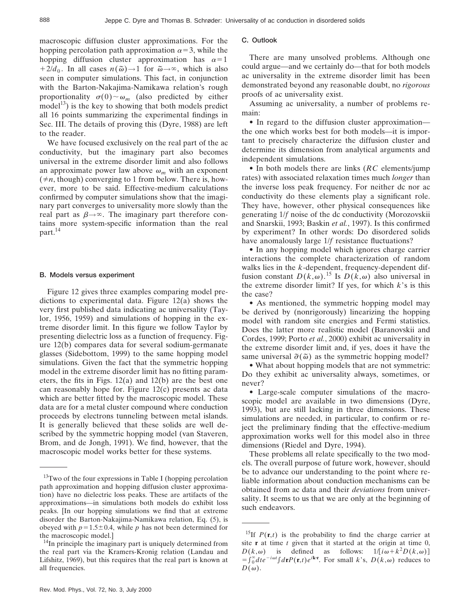macroscopic diffusion cluster approximations. For the hopping percolation path approximation  $\alpha=3$ , while the hopping diffusion cluster approximation has  $\alpha=1$  $+2/d_0$ . In all cases  $n(\tilde{\omega}) \rightarrow 1$  for  $\tilde{\omega} \rightarrow \infty$ , which is also seen in computer simulations. This fact, in conjunction with the Barton-Nakajima-Namikawa relation's rough proportionality  $\sigma(0) \sim \omega_m$  (also predicted by either  $model<sup>13</sup>$ ) is the key to showing that both models predict all 16 points summarizing the experimental findings in Sec. III. The details of proving this (Dyre, 1988) are left to the reader.

We have focused exclusively on the real part of the ac conductivity, but the imaginary part also becomes universal in the extreme disorder limit and also follows an approximate power law above  $\omega_m$  with an exponent  $(\neq n,$  though) converging to 1 from below. There is, however, more to be said. Effective-medium calculations confirmed by computer simulations show that the imaginary part converges to universality more slowly than the real part as  $\beta \rightarrow \infty$ . The imaginary part therefore contains more system-specific information than the real part.<sup>14</sup>

#### **B. Models versus experiment**

Figure 12 gives three examples comparing model predictions to experimental data. Figure 12(a) shows the very first published data indicating ac universality (Taylor, 1956, 1959) and simulations of hopping in the extreme disorder limit. In this figure we follow Taylor by presenting dielectric loss as a function of frequency. Figure 12(b) compares data for several sodium-germanate glasses (Sidebottom, 1999) to the same hopping model simulations. Given the fact that the symmetric hopping model in the extreme disorder limit has no fitting parameters, the fits in Figs. 12(a) and 12(b) are the best one can reasonably hope for. Figure 12(c) presents ac data which are better fitted by the macroscopic model. These data are for a metal cluster compound where conduction proceeds by electrons tunneling between metal islands. It is generally believed that these solids are well described by the symmetric hopping model (van Staveren, Brom, and de Jongh, 1991). We find, however, that the macroscopic model works better for these systems.

#### **C. Outlook**

There are many unsolved problems. Although one could argue—and we certainly do—that for both models ac universality in the extreme disorder limit has been demonstrated beyond any reasonable doubt, no *rigorous* proofs of ac universality exist.

Assuming ac universality, a number of problems remain:

• In regard to the diffusion cluster approximation the one which works best for both models—it is important to precisely characterize the diffusion cluster and determine its dimension from analytical arguments and independent simulations.

• In both models there are links (*RC* elements/jump rates) with associated relaxation times much *longer* than the inverse loss peak frequency. For neither dc nor ac conductivity do these elements play a significant role. They have, however, other physical consequences like generating 1/*f* noise of the dc conductivity (Morozovskii and Snarskii, 1993; Baskin *et al.*, 1997). Is this confirmed by experiment? In other words: Do disordered solids have anomalously large 1/*f* resistance fluctuations?

• In any hopping model which ignores charge carrier interactions the complete characterization of random walks lies in the *k*-dependent, frequency-dependent diffusion constant  $D(k,\omega)$ .<sup>15</sup> Is  $D(k,\omega)$  also universal in the extreme disorder limit? If yes, for which *k*'s is this the case?

• As mentioned, the symmetric hopping model may be derived by (nonrigorously) linearizing the hopping model with random site energies and Fermi statistics. Does the latter more realistic model (Baranovskii and Cordes, 1999; Porto *et al.*, 2000) exhibit ac universality in the extreme disorder limit and, if yes, does it have the same universal  $\tilde{\sigma}(\tilde{\omega})$  as the symmetric hopping model?

• What about hopping models that are not symmetric: Do they exhibit ac universality always, sometimes, or never?

• Large-scale computer simulations of the macroscopic model are available in two dimensions (Dyre, 1993), but are still lacking in three dimensions. These simulations are needed, in particular, to confirm or reject the preliminary finding that the effective-medium approximation works well for this model also in three dimensions (Riedel and Dyre, 1994).

These problems all relate specifically to the two models. The overall purpose of future work, however, should be to advance our understanding to the point where reliable information about conduction mechanisms can be obtained from ac data and their *deviations* from universality. It seems to us that we are only at the beginning of such endeavors.

 $13$ Two of the four expressions in Table I (hopping percolation path approximation and hopping diffusion cluster approximation) have no dielectric loss peaks. These are artifacts of the approximations—in simulations both models do exhibit loss peaks. [In our hopping simulations we find that at extreme disorder the Barton-Nakajima-Namikawa relation, Eq. (5), is obeyed with  $p=1.5\pm0.4$ , while *p* has not been determined for the macroscopic model.]

 $14$ In principle the imaginary part is uniquely determined from the real part via the Kramers-Kronig relation (Landau and Lifshitz, 1969), but this requires that the real part is known at all frequencies.

<sup>&</sup>lt;sup>15</sup>If  $P(\mathbf{r},t)$  is the probability to find the charge carrier at site **r** at time *t* given that it started at the origin at time 0,  $D(k,\omega)$  is defined as follows:  $1/[i\omega + k^2D(k,\omega)]$  $=\int_0^{\infty} dt e^{-i\omega t} \int d\mathbf{r} P(\mathbf{r},t) e^{i\mathbf{k}\cdot \mathbf{r}}$ . For small *k*'s, *D*(*k*,  $\omega$ ) reduces to  $D(\omega)$ .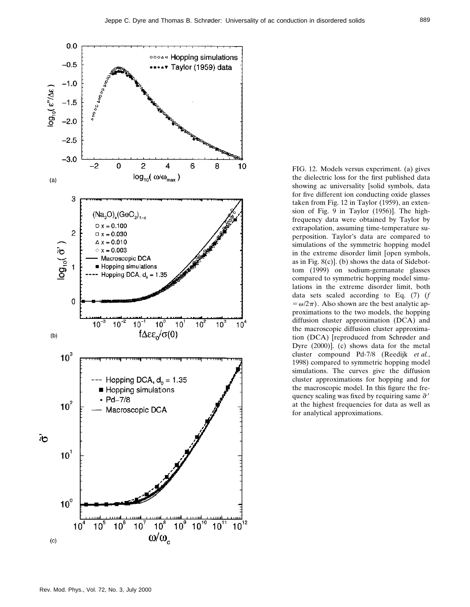

FIG. 12. Models versus experiment. (a) gives the dielectric loss for the first published data showing ac universality [solid symbols, data for five different ion conducting oxide glasses taken from Fig. 12 in Taylor (1959), an extension of Fig. 9 in Taylor (1956)]. The highfrequency data were obtained by Taylor by extrapolation, assuming time-temperature superposition. Taylor's data are compared to simulations of the symmetric hopping model in the extreme disorder limit [open symbols, as in Fig.  $8(c)$ ]. (b) shows the data of Sidebottom (1999) on sodium-germanate glasses compared to symmetric hopping model simulations in the extreme disorder limit, both data sets scaled according to Eq. (7) (*f*  $=\omega/2\pi$ ). Also shown are the best analytic approximations to the two models, the hopping diffusion cluster approximation (DCA) and the macroscopic diffusion cluster approximation (DCA) [reproduced from Schrøder and Dyre (2000)]. (c) shows data for the metal cluster compound Pd-7/8 (Reedijk *et al.*, 1998) compared to symmetric hopping model simulations. The curves give the diffusion cluster approximations for hopping and for the macroscopic model. In this figure the frequency scaling was fixed by requiring same  $\tilde{\sigma}$ <sup>'</sup> at the highest frequencies for data as well as for analytical approximations.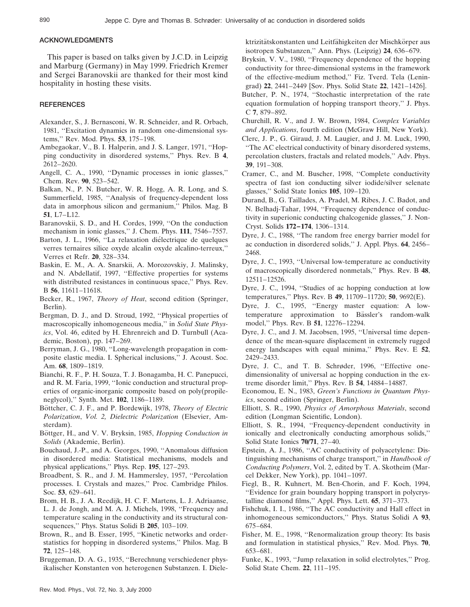## **ACKNOWLEDGMENTS**

This paper is based on talks given by J.C.D. in Leipzig and Marburg (Germany) in May 1999. Friedrich Kremer and Sergei Baranovskii are thanked for their most kind hospitality in hosting these visits.

#### **REFERENCES**

- Alexander, S., J. Bernasconi, W. R. Schneider, and R. Orbach, 1981, ''Excitation dynamics in random one-dimensional systems,'' Rev. Mod. Phys. **53**, 175–198.
- Ambegaokar, V., B. I. Halperin, and J. S. Langer, 1971, ''Hopping conductivity in disordered systems,'' Phys. Rev. B **4**, 2612–2620.
- Angell, C. A., 1990, ''Dynamic processes in ionic glasses,'' Chem. Rev. **90**, 523–542.
- Balkan, N., P. N. Butcher, W. R. Hogg, A. R. Long, and S. Summerfield, 1985, ''Analysis of frequency-dependent loss data in amorphous silicon and germanium,'' Philos. Mag. B **51**, L7–L12.
- Baranovskii, S. D., and H. Cordes, 1999, ''On the conduction mechanism in ionic glasses,'' J. Chem. Phys. **111**, 7546–7557.
- Barton, J. L., 1966, "La relaxation diélectrique de quelques verres ternaires silice oxyde alcalin oxyde alcalino-terreux,'' Verres et Refr. **20**, 328–334.
- Baskin, E. M., A. A. Snarskii, A. Morozovskiy, J. Malinsky, and N. Abdellatif, 1997, ''Effective properties for systems with distributed resistances in continuous space,'' Phys. Rev. B **56**, 11611–11618.
- Becker, R., 1967, *Theory of Heat*, second edition (Springer, Berlin).
- Bergman, D. J., and D. Stroud, 1992, ''Physical properties of macroscopically inhomogeneous media,'' in *Solid State Physics*, Vol. 46, edited by H. Ehrenreich and D. Turnbull (Academic, Boston), pp. 147–269.
- Berryman, J. G., 1980, ''Long-wavelength propagation in composite elastic media. I. Spherical inclusions,'' J. Acoust. Soc. Am. **68**, 1809–1819.
- Bianchi, R. F., P. H. Souza, T. J. Bonagamba, H. C. Panepucci, and R. M. Faria, 1999, ''Ionic conduction and structural properties of organic-inorganic composite based on poly(propileneglycol),'' Synth. Met. **102**, 1186–1189.
- Böttcher, C. J. F., and P. Bordewijk, 1978, *Theory of Electric Polarization*, *Vol. 2, Dielectric Polarization* (Elsevier, Amsterdam).
- Böttger, H., and V. V. Bryksin, 1985, *Hopping Conduction in Solids* (Akademie, Berlin).
- Bouchaud, J.-P., and A. Georges, 1990, ''Anomalous diffusion in disordered media: Statistical mechanisms, models and physical applications,'' Phys. Rep. **195**, 127–293.
- Broadbent, S. R., and J. M. Hammersley, 1957, ''Percolation processes. I. Crystals and mazes,'' Proc. Cambridge Philos. Soc. **53**, 629–641.
- Brom, H. B., J. A. Reedijk, H. C. F. Martens, L. J. Adriaanse, L. J. de Jongh, and M. A. J. Michels, 1998, ''Frequency and temperature scaling in the conductivity and its structural consequences,'' Phys. Status Solidi B **205**, 103–109.
- Brown, R., and B. Esser, 1995, ''Kinetic networks and orderstatistics for hopping in disordered systems,'' Philos. Mag. B **72**, 125–148.
- Bruggeman, D. A. G., 1935, ''Berechnung verschiedener physikalischer Konstanten von heterogenen Substanzen. I. Diele-

ktrizitätskonstanten und Leitfähigkeiten der Mischkörper aus isotropen Substanzen,'' Ann. Phys. (Leipzig) **24**, 636–679.

- Bryksin, V. V., 1980, ''Frequency dependence of the hopping conductivity for three-dimensional systems in the framework of the effective-medium method,'' Fiz. Tverd. Tela (Leningrad) **22**, 2441–2449 [Sov. Phys. Solid State **22**, 1421–1426].
- Butcher, P. N., 1974, ''Stochastic interpretation of the rate equation formulation of hopping transport theory,'' J. Phys. C **7**, 879–892.
- Churchill, R. V., and J. W. Brown, 1984, *Complex Variables and Applications*, fourth edition (McGraw Hill, New York).
- Clerc, J. P., G. Giraud, J. M. Laugier, and J. M. Luck, 1990, ''The AC electrical conductivity of binary disordered systems, percolation clusters, fractals and related models,'' Adv. Phys. **39**, 191–308.
- Cramer, C., and M. Buscher, 1998, ''Complete conductivity spectra of fast ion conducting silver iodide/silver selenate glasses,'' Solid State Ionics **105**, 109–120.
- Durand, B., G. Taillades, A. Pradel, M. Ribes, J. C. Badot, and N. Belhadj-Tahar, 1994, ''Frequency dependence of conductivity in superionic conducting chalcogenide glasses,'' J. Non-Cryst. Solids **172–174**, 1306–1314.
- Dyre, J. C., 1988, ''The random free energy barrier model for ac conduction in disordered solids,'' J. Appl. Phys. **64**, 2456– 2468.
- Dyre, J. C., 1993, ''Universal low-temperature ac conductivity of macroscopically disordered nonmetals,'' Phys. Rev. B **48**, 12511–12526.
- Dyre, J. C., 1994, ''Studies of ac hopping conduction at low temperatures,'' Phys. Rev. B **49**, 11709–11720; **50**, 9692(E).
- Dyre, J. C., 1995, ''Energy master equation: A lowtemperature approximation to Bässler's random-walk model,'' Phys. Rev. B **51**, 12276–12294.
- Dyre, J. C., and J. M. Jacobsen, 1995, ''Universal time dependence of the mean-square displacement in extremely rugged energy landscapes with equal minima,'' Phys. Rev. E **52**, 2429–2433.
- Dyre, J. C., and T. B. Schrøder, 1996, "Effective onedimensionality of universal ac hopping conduction in the extreme disorder limit,'' Phys. Rev. B **54**, 14884–14887.
- Economou, E. N., 1983, *Green's Functions in Quantum Physics*, second edition (Springer, Berlin).
- Elliott, S. R., 1990, *Physics of Amorphous Materials*, second edition (Longman Scientific, London).
- Elliott, S. R., 1994, ''Frequency-dependent conductivity in ionically and electronically conducting amorphous solids,'' Solid State Ionics **70Õ71**, 27–40.
- Epstein, A. J., 1986, ''AC conductivity of polyacetylene: Distinguishing mechanisms of charge transport,'' in *Handbook of Conducting Polymers*, Vol. 2, edited by T. A. Skotheim (Marcel Dekker, New York), pp. 1041–1097.
- Fiegl, B., R. Kuhnert, M. Ben-Chorin, and F. Koch, 1994, ''Evidence for grain boundary hopping transport in polycrystalline diamond films,'' Appl. Phys. Lett. **65**, 371–373.
- Fishchuk, I. I., 1986, ''The AC conductivity and Hall effect in inhomogeneous semiconductors,'' Phys. Status Solidi A **93**, 675–684.
- Fisher, M. E., 1998, ''Renormalization group theory: Its basis and formulation in statistical physics,'' Rev. Mod. Phys. **70**, 653–681.
- Funke, K., 1993, ''Jump relaxation in solid electrolytes,'' Prog. Solid State Chem. **22**, 111–195.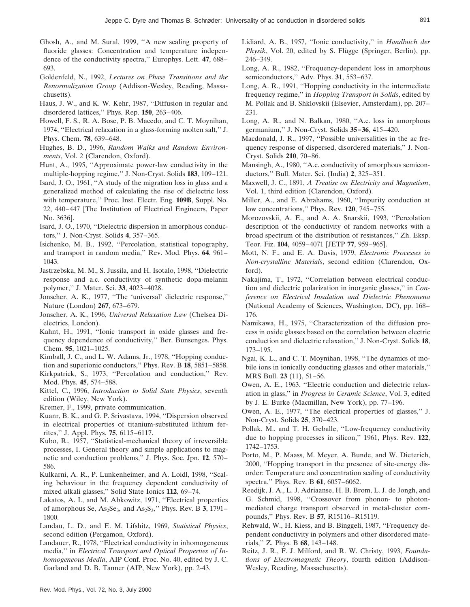- Ghosh, A., and M. Sural, 1999, ''A new scaling property of fluoride glasses: Concentration and temperature independence of the conductivity spectra,'' Europhys. Lett. **47**, 688– 693.
- Goldenfeld, N., 1992, *Lectures on Phase Transitions and the Renormalization Group* (Addison-Wesley, Reading, Massachusetts).
- Haus, J. W., and K. W. Kehr, 1987, ''Diffusion in regular and disordered lattices,'' Phys. Rep. **150**, 263–406.
- Howell, F. S., R. A. Bose, P. B. Macedo, and C. T. Moynihan, 1974, ''Electrical relaxation in a glass-forming molten salt,'' J. Phys. Chem. **78**, 639–648.
- Hughes, B. D., 1996, *Random Walks and Random Environments*, Vol. 2 (Clarendon, Oxford).
- Hunt, A., 1995, ''Approximate power-law conductivity in the multiple-hopping regime,'' J. Non-Cryst. Solids **183**, 109–121.
- Isard, J. O., 1961, ''A study of the migration loss in glass and a generalized method of calculating the rise of dielectric loss with temperature,'' Proc. Inst. Electr. Eng. **109B**, Suppl. No. 22, 440–447 [The Institution of Electrical Engineers, Paper No. 3636].
- Isard, J. O., 1970, ''Dielectric dispersion in amorphous conductors,'' J. Non-Cryst. Solids **4**, 357–365.
- Isichenko, M. B., 1992, ''Percolation, statistical topography, and transport in random media,'' Rev. Mod. Phys. **64**, 961– 1043.
- Jastrzebska, M. M., S. Jussila, and H. Isotalo, 1998, ''Dielectric response and a.c. conductivity of synthetic dopa-melanin polymer,'' J. Mater. Sci. **33**, 4023–4028.
- Jonscher, A. K., 1977, ''The 'universal' dielectric response,'' Nature (London) **267**, 673–679.
- Jonscher, A. K., 1996, *Universal Relaxation Law* (Chelsea Dielectrics, London).
- Kahnt, H., 1991, ''Ionic transport in oxide glasses and frequency dependence of conductivity,'' Ber. Bunsenges. Phys. Chem. **95**, 1021–1025.
- Kimball, J. C., and L. W. Adams, Jr., 1978, ''Hopping conduction and superionic conductors,'' Phys. Rev. B **18**, 5851–5858.
- Kirkpatrick, S., 1973, ''Percolation and conduction,'' Rev. Mod. Phys. **45**, 574–588.
- Kittel, C., 1996, *Introduction to Solid State Physics*, seventh edition (Wiley, New York).
- Kremer, F., 1999, private communication.
- Kuanr, B. K., and G. P. Srivastava, 1994, ''Dispersion observed in electrical properties of titanium-substituted lithium ferrites,'' J. Appl. Phys. **75**, 6115–6117.
- Kubo, R., 1957, ''Statistical-mechanical theory of irreversible processes, I. General theory and simple applications to magnetic and conduction problems,'' J. Phys. Soc. Jpn. **12**, 570– 586.
- Kulkarni, A. R., P. Lunkenheimer, and A. Loidl, 1998, ''Scaling behaviour in the frequency dependent conductivity of mixed alkali glasses,'' Solid State Ionics **112**, 69–74.
- Lakatos, A. I., and M. Abkowitz, 1971, ''Electrical properties of amorphous Se,  $As_2Se_3$ , and  $As_2S_3$ ," Phys. Rev. B 3, 1791– 1800.
- Landau, L. D., and E. M. Lifshitz, 1969, *Statistical Physics*, second edition (Pergamon, Oxford).
- Landauer, R., 1978, ''Electrical conductivity in inhomogeneous media,'' in *Electrical Transport and Optical Properties of Inhomogeneous Media*, AIP Conf. Proc. No. 40, edited by J. C. Garland and D. B. Tanner (AIP, New York), pp. 2-43.
- Lidiard, A. B., 1957, ''Ionic conductivity,'' in *Handbuch der Physik*, Vol. 20, edited by S. Flügge (Springer, Berlin), pp. 246–349.
- Long, A. R., 1982, ''Frequency-dependent loss in amorphous semiconductors,'' Adv. Phys. **31**, 553–637.
- Long, A. R., 1991, ''Hopping conductivity in the intermediate frequency regime,'' in *Hopping Transport in Solids*, edited by M. Pollak and B. Shklovskii (Elsevier, Amsterdam), pp. 207– 231.
- Long, A. R., and N. Balkan, 1980, "A.c. loss in amorphous germanium,'' J. Non-Cryst. Solids **35–36**, 415–420.
- Macdonald, J. R., 1997, ''Possible universalities in the ac frequency response of dispersed, disordered materials,'' J. Non-Cryst. Solids **210**, 70–86.
- Mansingh, A., 1980, ''A.c. conductivity of amorphous semiconductors,'' Bull. Mater. Sci. (India) **2**, 325–351.
- Maxwell, J. C., 1891, *A Treatise on Electricity and Magnetism*, Vol. 1, third edition (Clarendon, Oxford).
- Miller, A., and E. Abrahams, 1960, ''Impurity conduction at low concentrations,'' Phys. Rev. **120**, 745–755.
- Morozovskii, A. E., and A. A. Snarskii, 1993, ''Percolation description of the conductivity of random networks with a broad spectrum of the distribution of resistances,'' Zh. Eksp. Teor. Fiz. **104**, 4059–4071 [JETP **77**, 959–965].
- Mott, N. F., and E. A. Davis, 1979, *Electronic Processes in Non-crystalline Materials*, second edition (Clarendon, Oxford).
- Nakajima, T., 1972, ''Correlation between electrical conduction and dielectric polarization in inorganic glasses,'' in *Conference on Electrical Insulation and Dielectric Phenomena* (National Academy of Sciences, Washington, DC), pp. 168– 176.
- Namikawa, H., 1975, ''Characterization of the diffusion process in oxide glasses based on the correlation between electric conduction and dielectric relaxation,'' J. Non-Cryst. Solids **18**, 173–195.
- Ngai, K. L., and C. T. Moynihan, 1998, ''The dynamics of mobile ions in ionically conducting glasses and other materials,'' MRS Bull. **23** (11), 51–56.
- Owen, A. E., 1963, ''Electric conduction and dielectric relaxation in glass,'' in *Progress in Ceramic Science*, Vol. 3, edited by J. E. Burke (Macmillan, New York), pp. 77–196.
- Owen, A. E., 1977, ''The electrical properties of glasses,'' J. Non-Cryst. Solids **25**, 370–423.
- Pollak, M., and T. H. Geballe, ''Low-frequency conductivity due to hopping processes in silicon,'' 1961, Phys. Rev. **122**, 1742–1753.
- Porto, M., P. Maass, M. Meyer, A. Bunde, and W. Dieterich, 2000, ''Hopping transport in the presence of site-energy disorder: Temperature and concentration scaling of conductivity spectra,'' Phys. Rev. B **61**, 6057–6062.
- Reedijk, J. A., L. J. Adriaanse, H. B. Brom, L. J. de Jongh, and G. Schmid, 1998, ''Crossover from phonon- to photonmediated charge transport observed in metal-cluster compounds,'' Phys. Rev. B **57**, R15116–R15119.
- Rehwald, W., H. Kiess, and B. Binggeli, 1987, ''Frequency dependent conductivity in polymers and other disordered materials,'' Z. Phys. B **68**, 143–148.
- Reitz, J. R., F. J. Milford, and R. W. Christy, 1993, *Foundations of Electromagnetic Theory*, fourth edition (Addison-Wesley, Reading, Massachusetts).